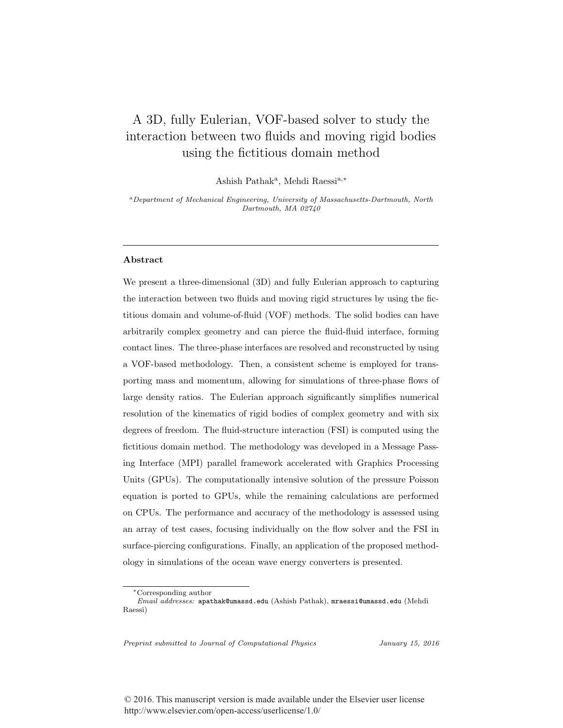# A 3D, fully Eulerian, VOF-based solver to study the interaction between two fluids and moving rigid bodies using the fictitious domain method

Ashish Pathak<sup>a</sup>, Mehdi Raessi<sup>a,∗</sup>

<sup>a</sup>Department of Mechanical Engineering, University of Massachusetts-Dartmouth, North Dartmouth, MA 02740

## Abstract

We present a three-dimensional (3D) and fully Eulerian approach to capturing the interaction between two fluids and moving rigid structures by using the fictitious domain and volume-of-fluid (VOF) methods. The solid bodies can have arbitrarily complex geometry and can pierce the fluid-fluid interface, forming contact lines. The three-phase interfaces are resolved and reconstructed by using a VOF-based methodology. Then, a consistent scheme is employed for transporting mass and momentum, allowing for simulations of three-phase flows of large density ratios. The Eulerian approach significantly simplifies numerical resolution of the kinematics of rigid bodies of complex geometry and with six degrees of freedom. The fluid-structure interaction (FSI) is computed using the fictitious domain method. The methodology was developed in a Message Passing Interface (MPI) parallel framework accelerated with Graphics Processing Units (GPUs). The computationally intensive solution of the pressure Poisson equation is ported to GPUs, while the remaining calculations are performed on CPUs. The performance and accuracy of the methodology is assessed using an array of test cases, focusing individually on the flow solver and the FSI in surface-piercing configurations. Finally, an application of the proposed methodology in simulations of the ocean wave energy converters is presented.

Preprint submitted to Journal of Computational Physics January 15, 2016

<sup>∗</sup>Corresponding author

Email addresses: apathak@umassd.edu (Ashish Pathak), mraessi@umassd.edu (Mehdi Raessi)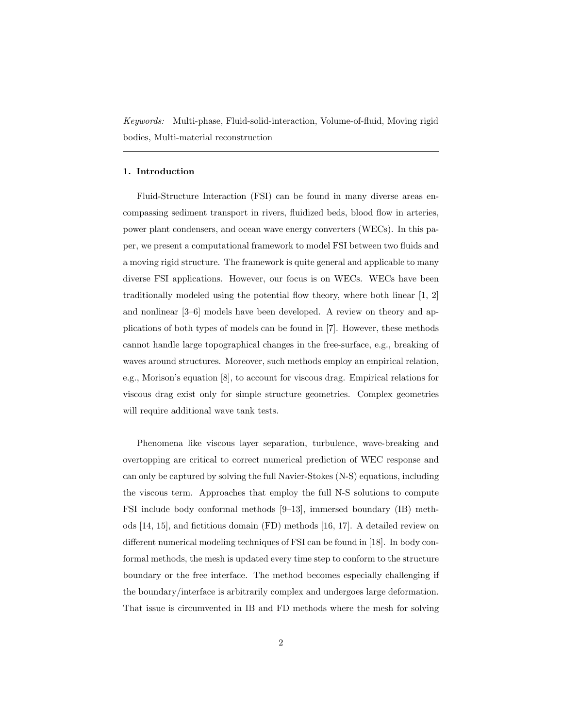*Keywords:* Multi-phase, Fluid-solid-interaction, Volume-of-fluid, Moving rigid bodies, Multi-material reconstruction

### 1. Introduction

Fluid-Structure Interaction (FSI) can be found in many diverse areas encompassing sediment transport in rivers, fluidized beds, blood flow in arteries, power plant condensers, and ocean wave energy converters (WECs). In this paper, we present a computational framework to model FSI between two fluids and a moving rigid structure. The framework is quite general and applicable to many diverse FSI applications. However, our focus is on WECs. WECs have been traditionally modeled using the potential flow theory, where both linear  $[1, 2]$ and nonlinear [3–6] models have been developed. A review on theory and applications of both types of models can be found in [7]. However, these methods cannot handle large topographical changes in the free-surface, e.g., breaking of waves around structures. Moreover, such methods employ an empirical relation, e.g., Morison's equation [8], to account for viscous drag. Empirical relations for viscous drag exist only for simple structure geometries. Complex geometries will require additional wave tank tests.

Phenomena like viscous layer separation, turbulence, wave-breaking and overtopping are critical to correct numerical prediction of WEC response and can only be captured by solving the full Navier-Stokes (N-S) equations, including the viscous term. Approaches that employ the full N-S solutions to compute FSI include body conformal methods [9–13], immersed boundary (IB) methods [14, 15], and fictitious domain (FD) methods [16, 17]. A detailed review on different numerical modeling techniques of FSI can be found in [18]. In body conformal methods, the mesh is updated every time step to conform to the structure boundary or the free interface. The method becomes especially challenging if the boundary/interface is arbitrarily complex and undergoes large deformation. That issue is circumvented in IB and FD methods where the mesh for solving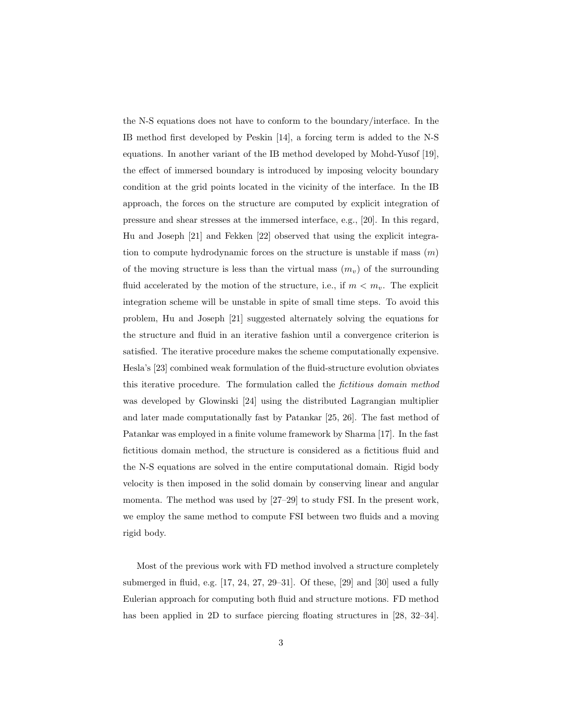the N-S equations does not have to conform to the boundary/interface. In the IB method first developed by Peskin [14], a forcing term is added to the N-S equations. In another variant of the IB method developed by Mohd-Yusof [19], the effect of immersed boundary is introduced by imposing velocity boundary condition at the grid points located in the vicinity of the interface. In the IB approach, the forces on the structure are computed by explicit integration of pressure and shear stresses at the immersed interface, e.g., [20]. In this regard, Hu and Joseph [21] and Fekken [22] observed that using the explicit integration to compute hydrodynamic forces on the structure is unstable if mass  $(m)$ of the moving structure is less than the virtual mass  $(m_n)$  of the surrounding fluid accelerated by the motion of the structure, i.e., if  $m < m_v$ . The explicit integration scheme will be unstable in spite of small time steps. To avoid this problem, Hu and Joseph [21] suggested alternately solving the equations for the structure and fluid in an iterative fashion until a convergence criterion is satisfied. The iterative procedure makes the scheme computationally expensive. Hesla's [23] combined weak formulation of the fluid-structure evolution obviates this iterative procedure. The formulation called the *fictitious domain method* was developed by Glowinski [24] using the distributed Lagrangian multiplier and later made computationally fast by Patankar [25, 26]. The fast method of Patankar was employed in a finite volume framework by Sharma [17]. In the fast fictitious domain method, the structure is considered as a fictitious fluid and the N-S equations are solved in the entire computational domain. Rigid body velocity is then imposed in the solid domain by conserving linear and angular momenta. The method was used by [27–29] to study FSI. In the present work, we employ the same method to compute FSI between two fluids and a moving rigid body.

Most of the previous work with FD method involved a structure completely submerged in fluid, e.g. [17, 24, 27, 29–31]. Of these, [29] and [30] used a fully Eulerian approach for computing both fluid and structure motions. FD method has been applied in 2D to surface piercing floating structures in [28, 32–34].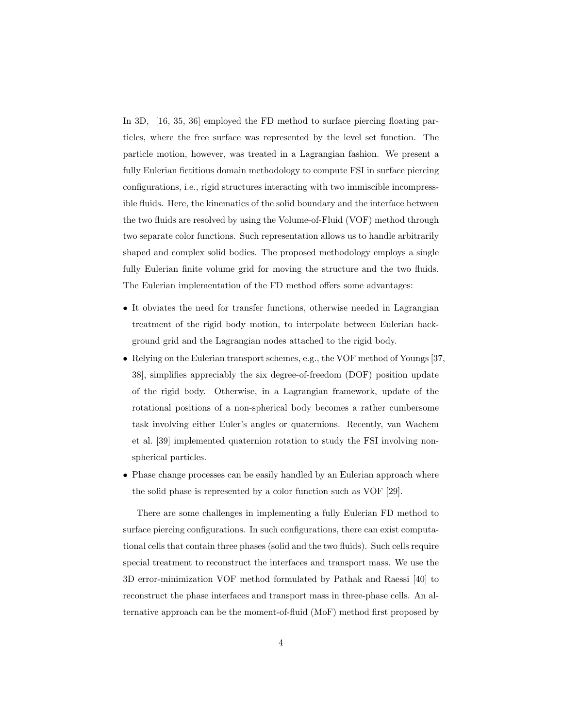In 3D, [16, 35, 36] employed the FD method to surface piercing floating particles, where the free surface was represented by the level set function. The particle motion, however, was treated in a Lagrangian fashion. We present a fully Eulerian fictitious domain methodology to compute FSI in surface piercing configurations, i.e., rigid structures interacting with two immiscible incompressible fluids. Here, the kinematics of the solid boundary and the interface between the two fluids are resolved by using the Volume-of-Fluid (VOF) method through two separate color functions. Such representation allows us to handle arbitrarily shaped and complex solid bodies. The proposed methodology employs a single fully Eulerian finite volume grid for moving the structure and the two fluids. The Eulerian implementation of the FD method offers some advantages:

- It obviates the need for transfer functions, otherwise needed in Lagrangian treatment of the rigid body motion, to interpolate between Eulerian background grid and the Lagrangian nodes attached to the rigid body.
- Relying on the Eulerian transport schemes, e.g., the VOF method of Youngs [37, 38], simplifies appreciably the six degree-of-freedom (DOF) position update of the rigid body. Otherwise, in a Lagrangian framework, update of the rotational positions of a non-spherical body becomes a rather cumbersome task involving either Euler's angles or quaternions. Recently, van Wachem et al. [39] implemented quaternion rotation to study the FSI involving nonspherical particles.
- Phase change processes can be easily handled by an Eulerian approach where the solid phase is represented by a color function such as VOF [29].

There are some challenges in implementing a fully Eulerian FD method to surface piercing configurations. In such configurations, there can exist computational cells that contain three phases (solid and the two fluids). Such cells require special treatment to reconstruct the interfaces and transport mass. We use the 3D error-minimization VOF method formulated by Pathak and Raessi [40] to reconstruct the phase interfaces and transport mass in three-phase cells. An alternative approach can be the moment-of-fluid (MoF) method first proposed by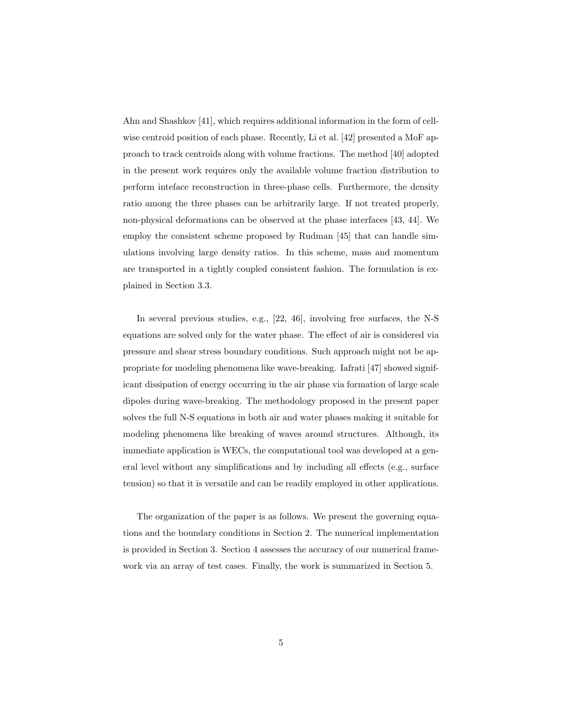Ahn and Shashkov [41], which requires additional information in the form of cellwise centroid position of each phase. Recently, Li et al. [42] presented a MoF approach to track centroids along with volume fractions. The method [40] adopted in the present work requires only the available volume fraction distribution to perform inteface reconstruction in three-phase cells. Furthermore, the density ratio among the three phases can be arbitrarily large. If not treated properly, non-physical deformations can be observed at the phase interfaces [43, 44]. We employ the consistent scheme proposed by Rudman [45] that can handle simulations involving large density ratios. In this scheme, mass and momentum are transported in a tightly coupled consistent fashion. The formulation is explained in Section 3.3.

In several previous studies, e.g., [22, 46], involving free surfaces, the N-S equations are solved only for the water phase. The effect of air is considered via pressure and shear stress boundary conditions. Such approach might not be appropriate for modeling phenomena like wave-breaking. Iafrati [47] showed significant dissipation of energy occurring in the air phase via formation of large scale dipoles during wave-breaking. The methodology proposed in the present paper solves the full N-S equations in both air and water phases making it suitable for modeling phenomena like breaking of waves around structures. Although, its immediate application is WECs, the computational tool was developed at a general level without any simplifications and by including all effects (e.g., surface tension) so that it is versatile and can be readily employed in other applications.

The organization of the paper is as follows. We present the governing equations and the boundary conditions in Section 2. The numerical implementation is provided in Section 3. Section 4 assesses the accuracy of our numerical framework via an array of test cases. Finally, the work is summarized in Section 5.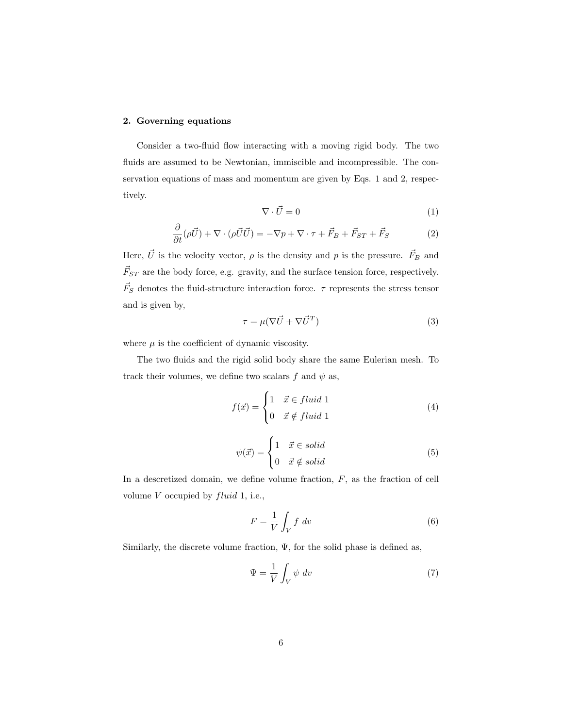## 2. Governing equations

Consider a two-fluid flow interacting with a moving rigid body. The two fluids are assumed to be Newtonian, immiscible and incompressible. The conservation equations of mass and momentum are given by Eqs. 1 and 2, respectively.

$$
\nabla \cdot \vec{U} = 0 \tag{1}
$$

$$
\frac{\partial}{\partial t}(\rho \vec{U}) + \nabla \cdot (\rho \vec{U} \vec{U}) = -\nabla p + \nabla \cdot \tau + \vec{F}_B + \vec{F}_{ST} + \vec{F}_S \tag{2}
$$

Here,  $\vec{U}$  is the velocity vector,  $\rho$  is the density and  $p$  is the pressure.  $\vec{F}_B$  and  $\vec{F}_{ST}$  are the body force, e.g. gravity, and the surface tension force, respectively.  $\vec{F}_S$  denotes the fluid-structure interaction force.  $\tau$  represents the stress tensor and is given by,

$$
\tau = \mu(\nabla \vec{U} + \nabla \vec{U}^T) \tag{3}
$$

where  $\mu$  is the coefficient of dynamic viscosity.

The two fluids and the rigid solid body share the same Eulerian mesh. To track their volumes, we define two scalars f and  $\psi$  as,

$$
f(\vec{x}) = \begin{cases} 1 & \vec{x} \in fluid \ 1 \\ 0 & \vec{x} \notin fluid \ 1 \end{cases}
$$
 (4)

$$
\psi(\vec{x}) = \begin{cases} 1 & \vec{x} \in solid \\ 0 & \vec{x} \notin solid \end{cases}
$$
 (5)

In a descretized domain, we define volume fraction,  $F$ , as the fraction of cell volume  $V$  occupied by  $fluid$  1, i.e.,

$$
F = \frac{1}{V} \int_{V} f \, dv \tag{6}
$$

Similarly, the discrete volume fraction,  $\Psi$ , for the solid phase is defined as,

$$
\Psi = \frac{1}{V} \int_{V} \psi \, dv \tag{7}
$$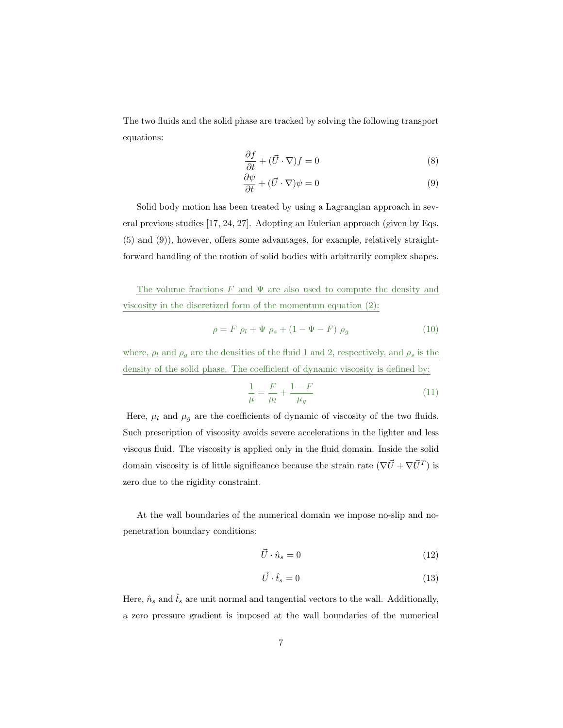The two fluids and the solid phase are tracked by solving the following transport equations:

$$
\frac{\partial f}{\partial t} + (\vec{U} \cdot \nabla)f = 0\tag{8}
$$

$$
\frac{\partial \psi}{\partial t} + (\vec{U} \cdot \nabla)\psi = 0 \tag{9}
$$

Solid body motion has been treated by using a Lagrangian approach in several previous studies [17, 24, 27]. Adopting an Eulerian approach (given by Eqs. (5) and (9)), however, offers some advantages, for example, relatively straightforward handling of the motion of solid bodies with arbitrarily complex shapes.

The volume fractions  $F$  and  $\Psi$  are also used to compute the density and viscosity in the discretized form of the momentum equation (2):

$$
\rho = F \rho_l + \Psi \rho_s + (1 - \Psi - F) \rho_g \tag{10}
$$

where,  $\rho_l$  and  $\rho_g$  are the densities of the fluid 1 and 2, respectively, and  $\rho_s$  is the density of the solid phase. The coefficient of dynamic viscosity is defined by:

$$
\frac{1}{\mu} = \frac{F}{\mu_l} + \frac{1 - F}{\mu_g} \tag{11}
$$

Here,  $\mu_l$  and  $\mu_g$  are the coefficients of dynamic of viscosity of the two fluids. Such prescription of viscosity avoids severe accelerations in the lighter and less viscous fluid. The viscosity is applied only in the fluid domain. Inside the solid domain viscosity is of little significance because the strain rate  $(\nabla \vec{U} + \nabla \vec{U}^T)$  is zero due to the rigidity constraint.

At the wall boundaries of the numerical domain we impose no-slip and nopenetration boundary conditions:

$$
\vec{U} \cdot \hat{n}_s = 0 \tag{12}
$$

$$
\vec{U} \cdot \hat{t}_s = 0 \tag{13}
$$

Here,  $\hat{n}_s$  and  $\hat{t}_s$  are unit normal and tangential vectors to the wall. Additionally, a zero pressure gradient is imposed at the wall boundaries of the numerical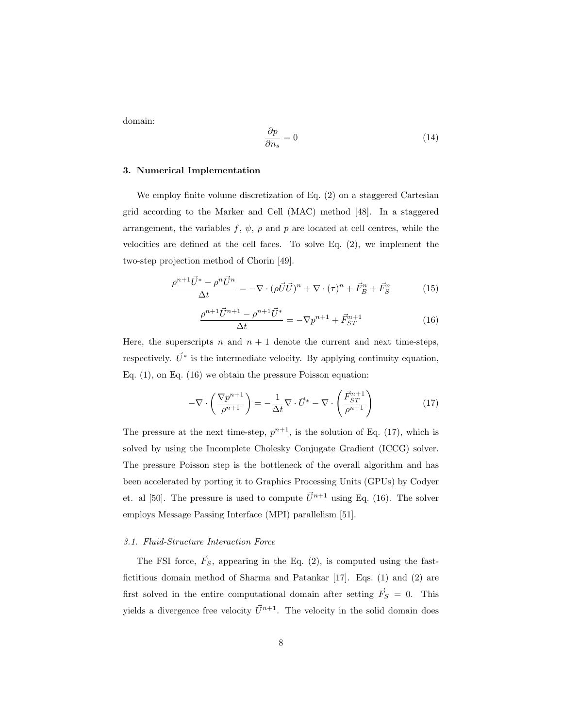domain:

$$
\frac{\partial p}{\partial n_s} = 0\tag{14}
$$

#### 3. Numerical Implementation

We employ finite volume discretization of Eq. (2) on a staggered Cartesian grid according to the Marker and Cell (MAC) method [48]. In a staggered arrangement, the variables  $f, \psi, \rho$  and  $p$  are located at cell centres, while the velocities are defined at the cell faces. To solve Eq.  $(2)$ , we implement the two-step projection method of Chorin [49].

$$
\frac{\rho^{n+1}\vec{U}^* - \rho^n \vec{U}^n}{\Delta t} = -\nabla \cdot (\rho \vec{U} \vec{U})^n + \nabla \cdot (\tau)^n + \vec{F}_B^n + \vec{F}_S^n \tag{15}
$$

$$
\frac{\rho^{n+1}\vec{U}^{n+1} - \rho^{n+1}\vec{U}^*}{\Delta t} = -\nabla p^{n+1} + \vec{F}_{ST}^{n+1}
$$
\n(16)

Here, the superscripts n and  $n + 1$  denote the current and next time-steps, respectively.  $\vec{U}^*$  is the intermediate velocity. By applying continuity equation, Eq. (1), on Eq. (16) we obtain the pressure Poisson equation:

$$
-\nabla \cdot \left(\frac{\nabla p^{n+1}}{\rho^{n+1}}\right) = -\frac{1}{\Delta t} \nabla \cdot \vec{U}^* - \nabla \cdot \left(\frac{\vec{F}_{ST}^{n+1}}{\rho^{n+1}}\right) \tag{17}
$$

The pressure at the next time-step,  $p^{n+1}$ , is the solution of Eq. (17), which is solved by using the Incomplete Cholesky Conjugate Gradient (ICCG) solver. The pressure Poisson step is the bottleneck of the overall algorithm and has been accelerated by porting it to Graphics Processing Units (GPUs) by Codyer et. al [50]. The pressure is used to compute  $\vec{U}^{n+1}$  using Eq. (16). The solver employs Message Passing Interface (MPI) parallelism [51].

### *3.1. Fluid-Structure Interaction Force*

The FSI force,  $\vec{F}_S$ , appearing in the Eq. (2), is computed using the fastfictitious domain method of Sharma and Patankar [17]. Eqs. (1) and (2) are first solved in the entire computational domain after setting  $\vec{F}_S = 0$ . This yields a divergence free velocity  $\vec{U}^{n+1}$ . The velocity in the solid domain does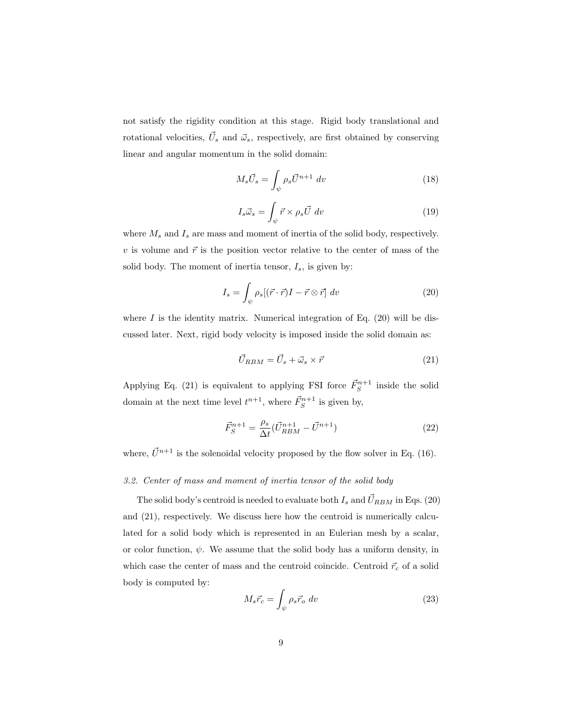not satisfy the rigidity condition at this stage. Rigid body translational and rotational velocities,  $\vec{U}_s$  and  $\vec{\omega}_s$ , respectively, are first obtained by conserving linear and angular momentum in the solid domain:

$$
M_s \vec{U}_s = \int_{\psi} \rho_s \vec{U}^{n+1} dv \tag{18}
$$

$$
I_s \vec{\omega}_s = \int_{\psi} \vec{r} \times \rho_s \vec{U} \, dv \tag{19}
$$

where  $M_s$  and  $I_s$  are mass and moment of inertia of the solid body, respectively. v is volume and  $\vec{r}$  is the position vector relative to the center of mass of the solid body. The moment of inertia tensor,  $I_s$ , is given by:

$$
I_s = \int_{\psi} \rho_s [(\vec{r} \cdot \vec{r})I - \vec{r} \otimes \vec{r}] dv \qquad (20)
$$

where  $I$  is the identity matrix. Numerical integration of Eq. (20) will be discussed later. Next, rigid body velocity is imposed inside the solid domain as:

$$
\vec{U}_{RBM} = \vec{U}_s + \vec{\omega}_s \times \vec{r}
$$
\n(21)

Applying Eq. (21) is equivalent to applying FSI force  $\vec{F}_S^{n+1}$  inside the solid domain at the next time level  $t^{n+1}$ , where  $\vec{F}_S^{n+1}$  is given by,

$$
\vec{F}_S^{n+1} = \frac{\rho_s}{\Delta t} (\vec{U}_{RBM}^{n+1} - \vec{U}^{n+1})
$$
\n(22)

where,  $\vec{U}^{n+1}$  is the solenoidal velocity proposed by the flow solver in Eq. (16).

## *3.2. Center of mass and moment of inertia tensor of the solid body*

The solid body's centroid is needed to evaluate both  $I_s$  and  $\vec{U}_{RBM}$  in Eqs. (20) and (21), respectively. We discuss here how the centroid is numerically calculated for a solid body which is represented in an Eulerian mesh by a scalar, or color function,  $\psi$ . We assume that the solid body has a uniform density, in which case the center of mass and the centroid coincide. Centroid  $\vec{r}_c$  of a solid body is computed by:

$$
M_s \vec{r}_c = \int_{\psi} \rho_s \vec{r}_o \, dv \tag{23}
$$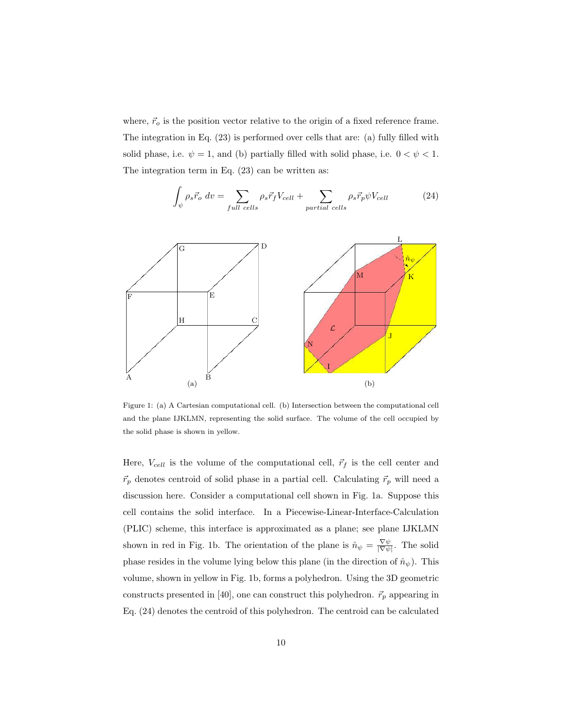where,  $\vec{r}_o$  is the position vector relative to the origin of a fixed reference frame. The integration in Eq. (23) is performed over cells that are: (a) fully filled with solid phase, i.e.  $\psi = 1$ , and (b) partially filled with solid phase, i.e.  $0 < \psi < 1$ . The integration term in Eq. (23) can be written as:

$$
\int_{\psi} \rho_s \vec{r}_o \ dv = \sum_{full \ cells} \rho_s \vec{r}_f V_{cell} + \sum_{partial \ cells} \rho_s \vec{r}_p \psi V_{cell} \tag{24}
$$



Figure 1: (a) A Cartesian computational cell. (b) Intersection between the computational cell and the plane IJKLMN, representing the solid surface. The volume of the cell occupied by the solid phase is shown in yellow.

Here,  $V_{cell}$  is the volume of the computational cell,  $\vec{r}_f$  is the cell center and  $\vec{r}_p$  denotes centroid of solid phase in a partial cell. Calculating  $\vec{r}_p$  will need a discussion here. Consider a computational cell shown in Fig. 1a. Suppose this cell contains the solid interface. In a Piecewise-Linear-Interface-Calculation (PLIC) scheme, this interface is approximated as a plane; see plane IJKLMN shown in red in Fig. 1b. The orientation of the plane is  $\hat{n}_{\psi} = \frac{\nabla \psi}{|\nabla \psi|}$ . The solid phase resides in the volume lying below this plane (in the direction of  $\hat{n}_{\psi}$ ). This volume, shown in yellow in Fig. 1b, forms a polyhedron. Using the 3D geometric constructs presented in [40], one can construct this polyhedron.  $\vec{r}_p$  appearing in Eq. (24) denotes the centroid of this polyhedron. The centroid can be calculated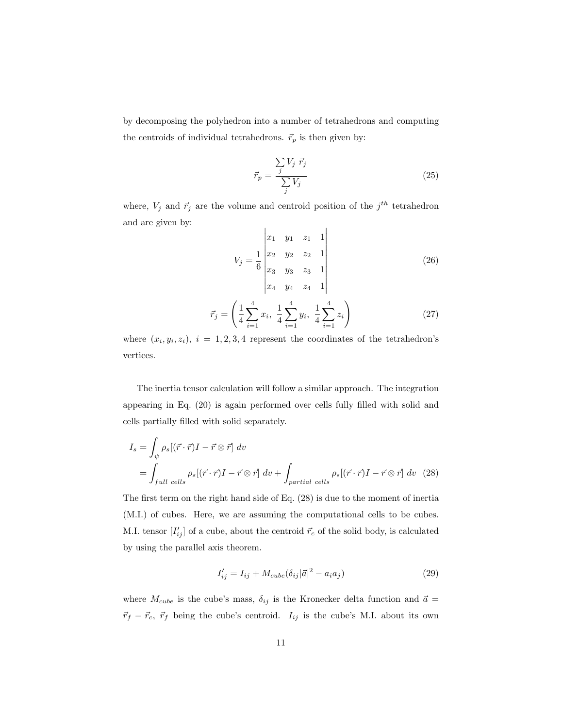by decomposing the polyhedron into a number of tetrahedrons and computing the centroids of individual tetrahedrons.  $\vec{r}_p$  is then given by:

$$
\vec{r}_p = \frac{\sum\limits_{j} V_j \ \vec{r}_j}{\sum\limits_{j} V_j} \tag{25}
$$

where,  $V_j$  and  $\vec{r}_j$  are the volume and centroid position of the  $j^{th}$  tetrahedron and are given by:  $\mathbf{L}$  $\mathbf{I}$ 

$$
V_j = \frac{1}{6} \begin{vmatrix} x_1 & y_1 & z_1 & 1 \\ x_2 & y_2 & z_2 & 1 \\ x_3 & y_3 & z_3 & 1 \\ x_4 & y_4 & z_4 & 1 \end{vmatrix}
$$
 (26)

$$
\vec{r}_j = \left(\frac{1}{4} \sum_{i=1}^4 x_i, \ \frac{1}{4} \sum_{i=1}^4 y_i, \ \frac{1}{4} \sum_{i=1}^4 z_i\right) \tag{27}
$$

where  $(x_i, y_i, z_i)$ ,  $i = 1, 2, 3, 4$  represent the coordinates of the tetrahedron's vertices.

The inertia tensor calculation will follow a similar approach. The integration appearing in Eq. (20) is again performed over cells fully filled with solid and cells partially filled with solid separately.

$$
I_s = \int_{\psi} \rho_s [(\vec{r} \cdot \vec{r})I - \vec{r} \otimes \vec{r}] dv
$$
  
= 
$$
\int_{full \ cells} \rho_s [(\vec{r} \cdot \vec{r})I - \vec{r} \otimes \vec{r}] dv + \int_{partial \ cells} \rho_s [(\vec{r} \cdot \vec{r})I - \vec{r} \otimes \vec{r}] dv (28)
$$

The first term on the right hand side of Eq. (28) is due to the moment of inertia (M.I.) of cubes. Here, we are assuming the computational cells to be cubes. M.I. tensor  $[I'_{ij}]$  of a cube, about the centroid  $\vec{r}_c$  of the solid body, is calculated by using the parallel axis theorem.

$$
I'_{ij} = I_{ij} + M_{cube} (\delta_{ij} |\vec{a}|^2 - a_i a_j)
$$
 (29)

where  $M_{cube}$  is the cube's mass,  $\delta_{ij}$  is the Kronecker delta function and  $\vec{a}$  =  $\vec{r}_f - \vec{r}_c$ ,  $\vec{r}_f$  being the cube's centroid.  $I_{ij}$  is the cube's M.I. about its own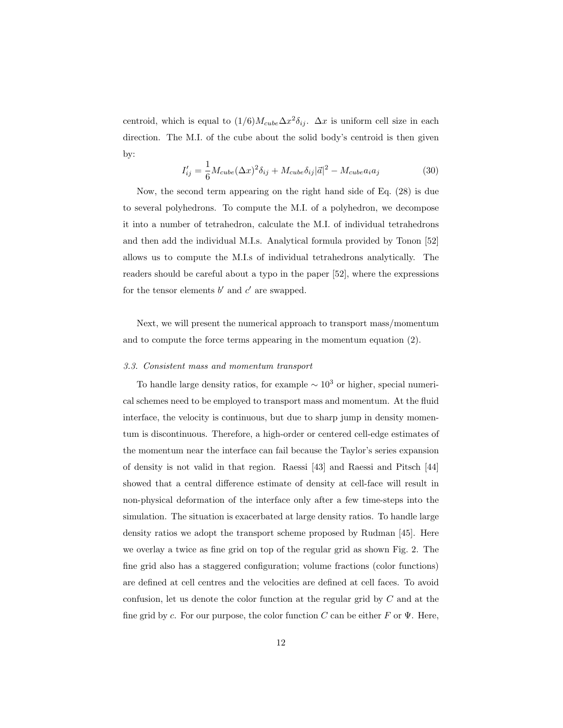centroid, which is equal to  $(1/6)M_{cube}\Delta x^2\delta_{ij}$ .  $\Delta x$  is uniform cell size in each direction. The M.I. of the cube about the solid body's centroid is then given by:

$$
I'_{ij} = \frac{1}{6} M_{cube} (\Delta x)^2 \delta_{ij} + M_{cube} \delta_{ij} |\vec{a}|^2 - M_{cube} a_i a_j \tag{30}
$$

Now, the second term appearing on the right hand side of Eq. (28) is due to several polyhedrons. To compute the M.I. of a polyhedron, we decompose it into a number of tetrahedron, calculate the M.I. of individual tetrahedrons and then add the individual M.I.s. Analytical formula provided by Tonon [52] allows us to compute the M.I.s of individual tetrahedrons analytically. The readers should be careful about a typo in the paper [52], where the expressions for the tensor elements  $b'$  and  $c'$  are swapped.

Next, we will present the numerical approach to transport mass/momentum and to compute the force terms appearing in the momentum equation (2).

#### *3.3. Consistent mass and momentum transport*

To handle large density ratios, for example  $\sim 10^3$  or higher, special numerical schemes need to be employed to transport mass and momentum. At the fluid interface, the velocity is continuous, but due to sharp jump in density momentum is discontinuous. Therefore, a high-order or centered cell-edge estimates of the momentum near the interface can fail because the Taylor's series expansion of density is not valid in that region. Raessi [43] and Raessi and Pitsch [44] showed that a central difference estimate of density at cell-face will result in non-physical deformation of the interface only after a few time-steps into the simulation. The situation is exacerbated at large density ratios. To handle large density ratios we adopt the transport scheme proposed by Rudman [45]. Here we overlay a twice as fine grid on top of the regular grid as shown Fig. 2. The fine grid also has a staggered configuration; volume fractions (color functions) are defined at cell centres and the velocities are defined at cell faces. To avoid confusion, let us denote the color function at the regular grid by C and at the fine grid by c. For our purpose, the color function C can be either F or  $\Psi$ . Here,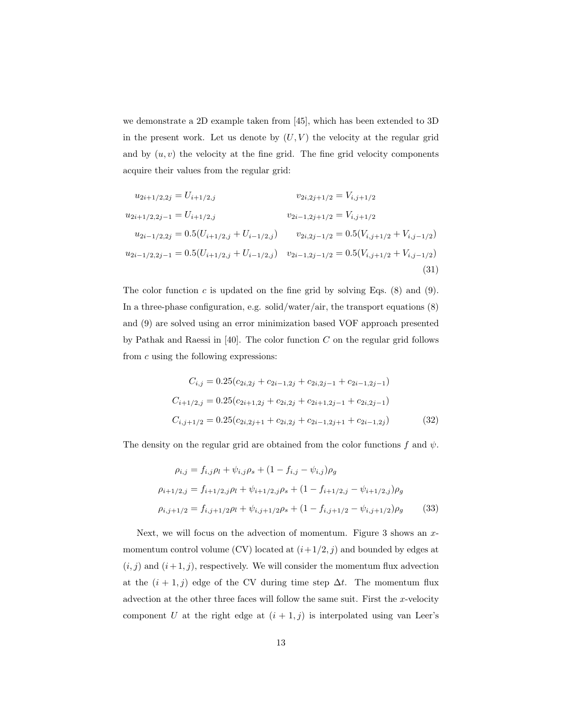we demonstrate a 2D example taken from [45], which has been extended to 3D in the present work. Let us denote by  $(U, V)$  the velocity at the regular grid and by  $(u, v)$  the velocity at the fine grid. The fine grid velocity components acquire their values from the regular grid:

$$
u_{2i+1/2,2j} = U_{i+1/2,j} \t v_{2i,2j+1/2} = V_{i,j+1/2}
$$
  
\n
$$
u_{2i+1/2,2j-1} = U_{i+1/2,j} \t v_{2i-1,2j+1/2} = V_{i,j+1/2}
$$
  
\n
$$
u_{2i-1/2,2j} = 0.5(U_{i+1/2,j} + U_{i-1/2,j}) \t v_{2i,2j-1/2} = 0.5(V_{i,j+1/2} + V_{i,j-1/2})
$$
  
\n
$$
u_{2i-1/2,2j-1} = 0.5(U_{i+1/2,j} + U_{i-1/2,j}) \t v_{2i-1,2j-1/2} = 0.5(V_{i,j+1/2} + V_{i,j-1/2})
$$
  
\n(31)

The color function  $c$  is updated on the fine grid by solving Eqs. (8) and (9). In a three-phase configuration, e.g. solid/water/air, the transport equations (8) and (9) are solved using an error minimization based VOF approach presented by Pathak and Raessi in [40]. The color function  $C$  on the regular grid follows from c using the following expressions:

$$
C_{i,j} = 0.25(c_{2i,2j} + c_{2i-1,2j} + c_{2i,2j-1} + c_{2i-1,2j-1})
$$
  
\n
$$
C_{i+1/2,j} = 0.25(c_{2i+1,2j} + c_{2i,2j} + c_{2i+1,2j-1} + c_{2i,2j-1})
$$
  
\n
$$
C_{i,j+1/2} = 0.25(c_{2i,2j+1} + c_{2i,2j} + c_{2i-1,2j+1} + c_{2i-1,2j})
$$
\n(32)

The density on the regular grid are obtained from the color functions f and  $\psi$ .

$$
\rho_{i,j} = f_{i,j}\rho_l + \psi_{i,j}\rho_s + (1 - f_{i,j} - \psi_{i,j})\rho_g
$$
  
\n
$$
\rho_{i+1/2,j} = f_{i+1/2,j}\rho_l + \psi_{i+1/2,j}\rho_s + (1 - f_{i+1/2,j} - \psi_{i+1/2,j})\rho_g
$$
  
\n
$$
\rho_{i,j+1/2} = f_{i,j+1/2}\rho_l + \psi_{i,j+1/2}\rho_s + (1 - f_{i,j+1/2} - \psi_{i,j+1/2})\rho_g
$$
\n(33)

Next, we will focus on the advection of momentum. Figure 3 shows an xmomentum control volume (CV) located at  $(i+1/2, j)$  and bounded by edges at  $(i, j)$  and  $(i + 1, j)$ , respectively. We will consider the momentum flux advection at the  $(i + 1, j)$  edge of the CV during time step  $\Delta t$ . The momentum flux advection at the other three faces will follow the same suit. First the  $x$ -velocity component U at the right edge at  $(i + 1, j)$  is interpolated using van Leer's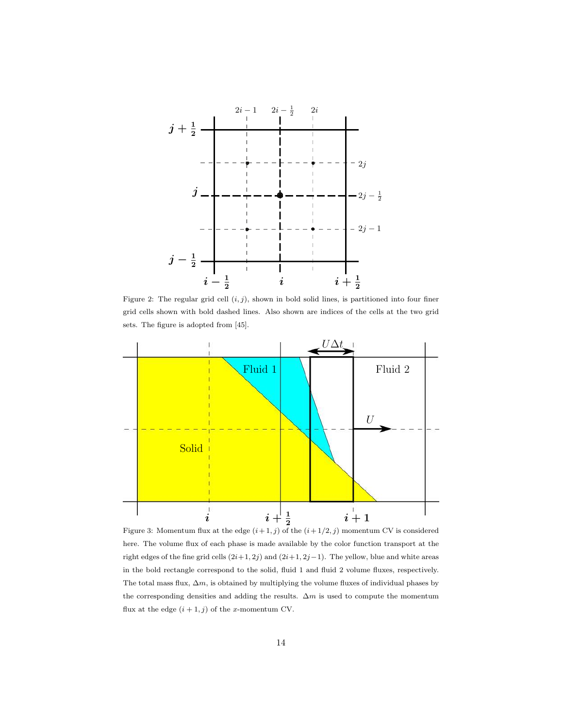

Figure 2: The regular grid cell  $(i, j)$ , shown in bold solid lines, is partitioned into four finer grid cells shown with bold dashed lines. Also shown are indices of the cells at the two grid sets. The figure is adopted from [45].



Figure 3: Momentum flux at the edge  $(i+1, j)$  of the  $(i+1/2, j)$  momentum CV is considered here. The volume flux of each phase is made available by the color function transport at the right edges of the fine grid cells  $(2i+1, 2j)$  and  $(2i+1, 2j-1)$ . The yellow, blue and white areas in the bold rectangle correspond to the solid, fluid 1 and fluid 2 volume fluxes, respectively. The total mass flux,  $\Delta m$ , is obtained by multiplying the volume fluxes of individual phases by the corresponding densities and adding the results.  $\Delta m$  is used to compute the momentum flux at the edge  $(i + 1, j)$  of the x-momentum CV.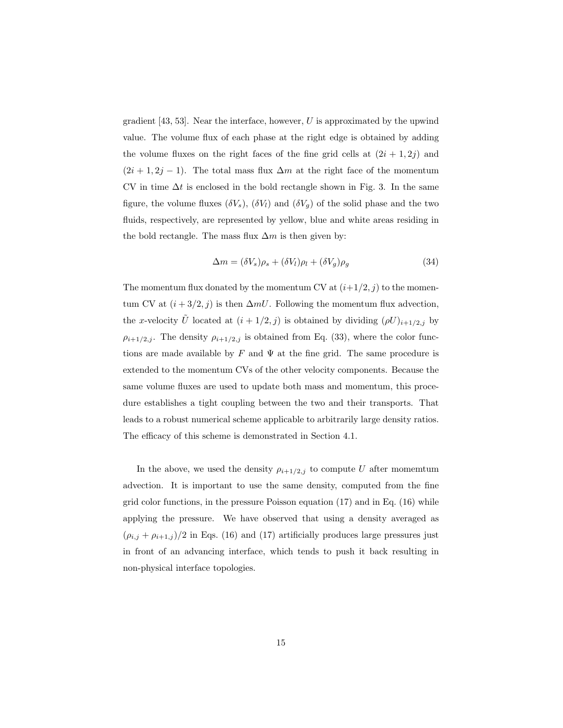gradient  $[43, 53]$ . Near the interface, however, U is approximated by the upwind value. The volume flux of each phase at the right edge is obtained by adding the volume fluxes on the right faces of the fine grid cells at  $(2i + 1, 2j)$  and  $(2i + 1, 2j - 1)$ . The total mass flux  $\Delta m$  at the right face of the momentum CV in time  $\Delta t$  is enclosed in the bold rectangle shown in Fig. 3. In the same figure, the volume fluxes  $(\delta V_s)$ ,  $(\delta V_l)$  and  $(\delta V_q)$  of the solid phase and the two fluids, respectively, are represented by yellow, blue and white areas residing in the bold rectangle. The mass flux  $\Delta m$  is then given by:

$$
\Delta m = (\delta V_s)\rho_s + (\delta V_l)\rho_l + (\delta V_g)\rho_g \tag{34}
$$

The momentum flux donated by the momentum CV at  $(i+1/2, j)$  to the momentum CV at  $(i + 3/2, j)$  is then  $\Delta mU$ . Following the momentum flux advection, the x-velocity  $\tilde{U}$  located at  $(i + 1/2, j)$  is obtained by dividing  $(\rho U)_{i+1/2,j}$  by  $\rho_{i+1/2,j}$ . The density  $\rho_{i+1/2,j}$  is obtained from Eq. (33), where the color functions are made available by F and  $\Psi$  at the fine grid. The same procedure is extended to the momentum CVs of the other velocity components. Because the same volume fluxes are used to update both mass and momentum, this procedure establishes a tight coupling between the two and their transports. That leads to a robust numerical scheme applicable to arbitrarily large density ratios. The efficacy of this scheme is demonstrated in Section 4.1.

In the above, we used the density  $\rho_{i+1/2,j}$  to compute U after momentum advection. It is important to use the same density, computed from the fine grid color functions, in the pressure Poisson equation  $(17)$  and in Eq.  $(16)$  while applying the pressure. We have observed that using a density averaged as  $(\rho_{i,j} + \rho_{i+1,j})/2$  in Eqs. (16) and (17) artificially produces large pressures just in front of an advancing interface, which tends to push it back resulting in non-physical interface topologies.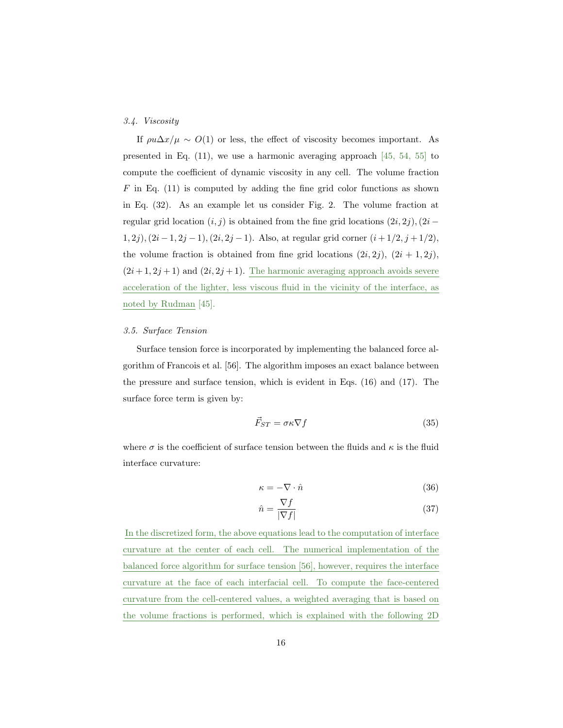## *3.4. Viscosity*

If  $\rho u \Delta x / \mu \sim O(1)$  or less, the effect of viscosity becomes important. As presented in Eq. (11), we use a harmonic averaging approach [45, 54, 55] to compute the coefficient of dynamic viscosity in any cell. The volume fraction  $F$  in Eq. (11) is computed by adding the fine grid color functions as shown in Eq. (32). As an example let us consider Fig. 2. The volume fraction at regular grid location  $(i, j)$  is obtained from the fine grid locations  $(2i, 2j)$ ,  $(2i (1, 2j), (2i-1, 2j-1), (2i, 2j-1).$  Also, at regular grid corner  $(i+1/2, j+1/2),$ the volume fraction is obtained from fine grid locations  $(2i, 2j)$ ,  $(2i + 1, 2j)$ ,  $(2i+1, 2j+1)$  and  $(2i, 2j+1)$ . The harmonic averaging approach avoids severe acceleration of the lighter, less viscous fluid in the vicinity of the interface, as noted by Rudman [45].

## *3.5. Surface Tension*

Surface tension force is incorporated by implementing the balanced force algorithm of Francois et al. [56]. The algorithm imposes an exact balance between the pressure and surface tension, which is evident in Eqs. (16) and (17). The surface force term is given by:

$$
\vec{F}_{ST} = \sigma \kappa \nabla f \tag{35}
$$

where  $\sigma$  is the coefficient of surface tension between the fluids and  $\kappa$  is the fluid interface curvature:

$$
\kappa = -\nabla \cdot \hat{n} \tag{36}
$$

$$
\hat{n} = \frac{\nabla f}{|\nabla f|} \tag{37}
$$

In the discretized form, the above equations lead to the computation of interface curvature at the center of each cell. The numerical implementation of the balanced force algorithm for surface tension [56], however, requires the interface curvature at the face of each interfacial cell. To compute the face-centered curvature from the cell-centered values, a weighted averaging that is based on the volume fractions is performed, which is explained with the following 2D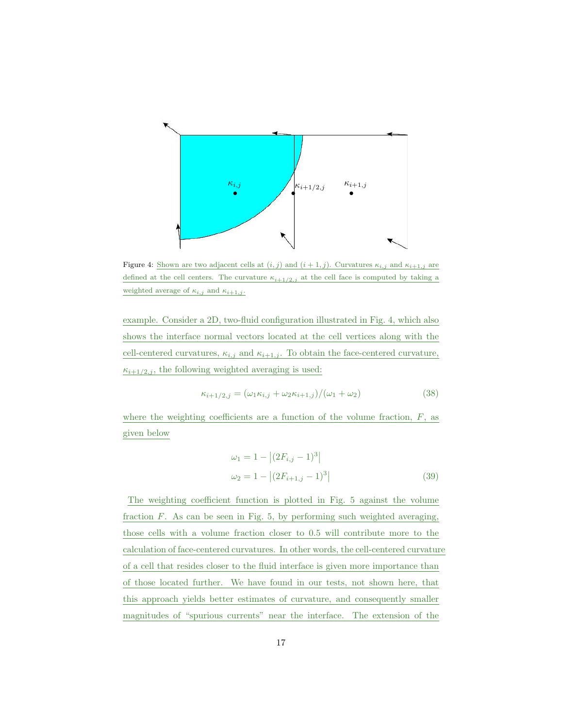

Figure 4: Shown are two adjacent cells at  $(i, j)$  and  $(i + 1, j)$ . Curvatures  $\kappa_{i,j}$  and  $\kappa_{i+1,j}$  are defined at the cell centers. The curvature  $\kappa_{i+1/2,j}$  at the cell face is computed by taking a weighted average of  $\kappa_{i,j}$  and  $\kappa_{i+1,j}$ .

example. Consider a 2D, two-fluid configuration illustrated in Fig. 4, which also shows the interface normal vectors located at the cell vertices along with the cell-centered curvatures,  $\kappa_{i,j}$  and  $\kappa_{i+1,j}$ . To obtain the face-centered curvature,  $\kappa_{i+1/2,j}$ , the following weighted averaging is used:

$$
\kappa_{i+1/2,j} = (\omega_1 \kappa_{i,j} + \omega_2 \kappa_{i+1,j})/(\omega_1 + \omega_2)
$$
\n(38)

where the weighting coefficients are a function of the volume fraction,  $F$ , as given below

$$
\omega_1 = 1 - |(2F_{i,j} - 1)^3|
$$
  
\n
$$
\omega_2 = 1 - |(2F_{i+1,j} - 1)^3|
$$
\n(39)

The weighting coefficient function is plotted in Fig. 5 against the volume fraction  $F$ . As can be seen in Fig. 5, by performing such weighted averaging, those cells with a volume fraction closer to 0.5 will contribute more to the calculation of face-centered curvatures. In other words, the cell-centered curvature of a cell that resides closer to the fluid interface is given more importance than of those located further. We have found in our tests, not shown here, that this approach yields better estimates of curvature, and consequently smaller magnitudes of "spurious currents" near the interface. The extension of the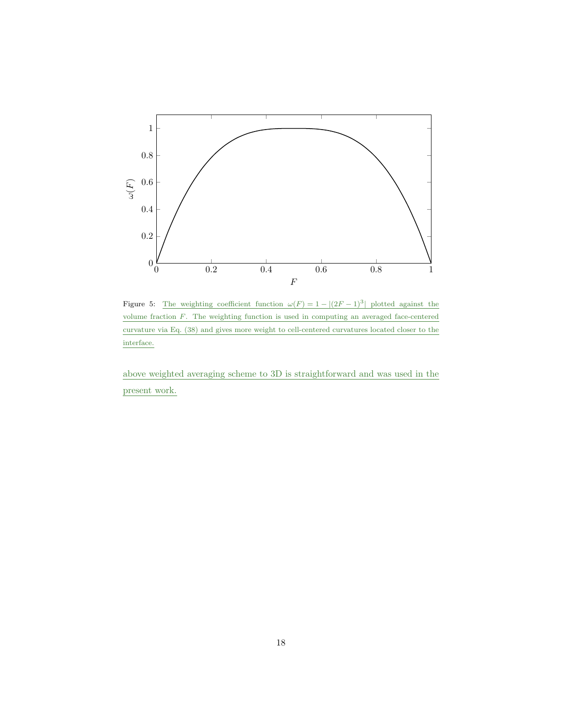

Figure 5: The weighting coefficient function  $\omega(F) = 1 - |(2F - 1)^3|$  plotted against the volume fraction F. The weighting function is used in computing an averaged face-centered curvature via Eq. (38) and gives more weight to cell-centered curvatures located closer to the interface.

above weighted averaging scheme to 3D is straightforward and was used in the present work.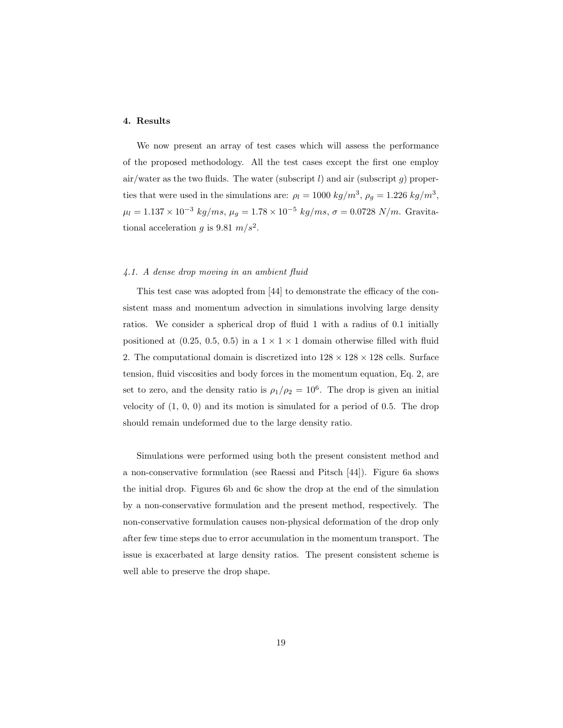#### 4. Results

We now present an array of test cases which will assess the performance of the proposed methodology. All the test cases except the first one employ air/water as the two fluids. The water (subscript  $l$ ) and air (subscript  $q$ ) properties that were used in the simulations are:  $\rho_l = 1000 \ kg/m^3$ ,  $\rho_g = 1.226 \ kg/m^3$ ,  $\mu_l = 1.137 \times 10^{-3} \ kg/ms, \ \mu_g = 1.78 \times 10^{-5} \ kg/ms, \ \sigma = 0.0728 \ N/m.$ Gravitational acceleration g is 9.81  $m/s^2$ .

### *4.1. A dense drop moving in an ambient fluid*

This test case was adopted from [44] to demonstrate the efficacy of the consistent mass and momentum advection in simulations involving large density ratios. We consider a spherical drop of fluid 1 with a radius of 0.1 initially positioned at (0.25, 0.5, 0.5) in a  $1 \times 1 \times 1$  domain otherwise filled with fluid 2. The computational domain is discretized into  $128 \times 128 \times 128$  cells. Surface tension, fluid viscosities and body forces in the momentum equation, Eq. 2, are set to zero, and the density ratio is  $\rho_1/\rho_2 = 10^6$ . The drop is given an initial velocity of  $(1, 0, 0)$  and its motion is simulated for a period of 0.5. The drop should remain undeformed due to the large density ratio.

Simulations were performed using both the present consistent method and a non-conservative formulation (see Raessi and Pitsch [44]). Figure 6a shows the initial drop. Figures 6b and 6c show the drop at the end of the simulation by a non-conservative formulation and the present method, respectively. The non-conservative formulation causes non-physical deformation of the drop only after few time steps due to error accumulation in the momentum transport. The issue is exacerbated at large density ratios. The present consistent scheme is well able to preserve the drop shape.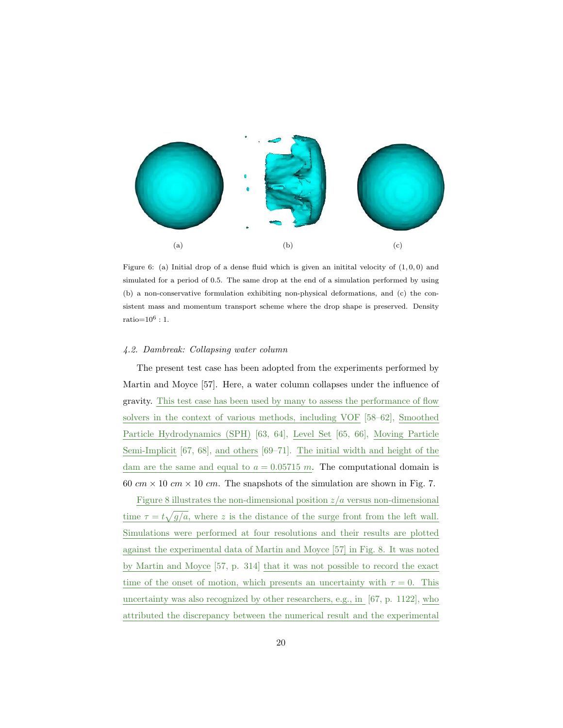

Figure 6: (a) Initial drop of a dense fluid which is given an initial velocity of  $(1, 0, 0)$  and simulated for a period of 0.5. The same drop at the end of a simulation performed by using (b) a non-conservative formulation exhibiting non-physical deformations, and (c) the consistent mass and momentum transport scheme where the drop shape is preserved. Density  $ratio = 10^6 : 1$ .

#### *4.2. Dambreak: Collapsing water column*

The present test case has been adopted from the experiments performed by Martin and Moyce [57]. Here, a water column collapses under the influence of gravity. This test case has been used by many to assess the performance of flow solvers in the context of various methods, including VOF [58–62], Smoothed Particle Hydrodynamics (SPH) [63, 64], Level Set [65, 66], Moving Particle Semi-Implicit [67, 68], and others [69–71]. The initial width and height of the dam are the same and equal to  $a = 0.05715$  m. The computational domain is 60  $cm \times 10$   $cm \times 10$   $cm$ . The snapshots of the simulation are shown in Fig. 7.

Figure 8 illustrates the non-dimensional position  $z/a$  versus non-dimensional time  $\tau = t\sqrt{g/a}$ , where z is the distance of the surge front from the left wall. Simulations were performed at four resolutions and their results are plotted against the experimental data of Martin and Moyce [57] in Fig. 8. It was noted by Martin and Moyce [57, p. 314] that it was not possible to record the exact time of the onset of motion, which presents an uncertainty with  $\tau = 0$ . This uncertainty was also recognized by other researchers, e.g., in [67, p. 1122], who attributed the discrepancy between the numerical result and the experimental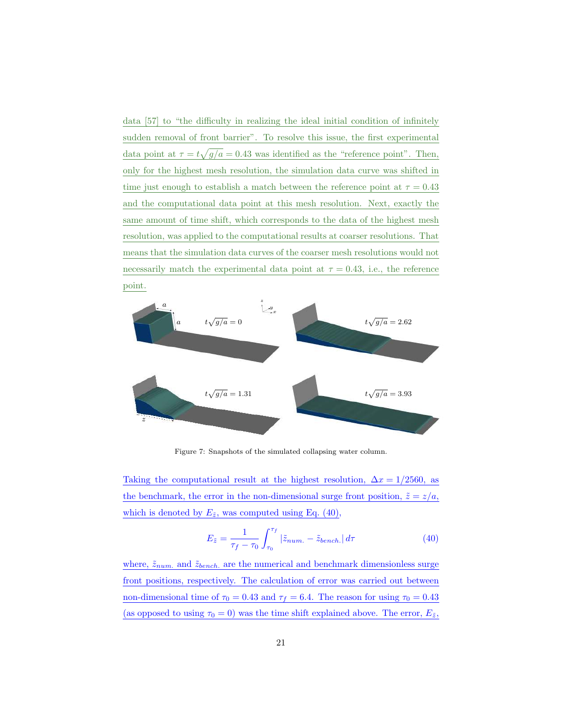data [57] to "the difficulty in realizing the ideal initial condition of infinitely sudden removal of front barrier". To resolve this issue, the first experimental data point at  $\tau = t\sqrt{g/a} = 0.43$  was identified as the "reference point". Then, only for the highest mesh resolution, the simulation data curve was shifted in time just enough to establish a match between the reference point at  $\tau = 0.43$ and the computational data point at this mesh resolution. Next, exactly the same amount of time shift, which corresponds to the data of the highest mesh resolution, was applied to the computational results at coarser resolutions. That means that the simulation data curves of the coarser mesh resolutions would not necessarily match the experimental data point at  $\tau = 0.43$ , i.e., the reference point.



Figure 7: Snapshots of the simulated collapsing water column.

Taking the computational result at the highest resolution,  $\Delta x = 1/2560$ , as the benchmark, the error in the non-dimensional surge front position,  $\tilde{z} = z/a$ , which is denoted by  $E_{\tilde{z}}$ , was computed using Eq. (40).

$$
E_{\tilde{z}} = \frac{1}{\tau_f - \tau_0} \int_{\tau_0}^{\tau_f} |\tilde{z}_{num.} - \tilde{z}_{bench.}| d\tau
$$
 (40)

where,  $\tilde{z}_{num.}$  and  $\tilde{z}_{bench.}$  are the numerical and benchmark dimensionless surge front positions, respectively. The calculation of error was carried out between non-dimensional time of  $\tau_0 = 0.43$  and  $\tau_f = 6.4$ . The reason for using  $\tau_0 = 0.43$ (as opposed to using  $\tau_0 = 0$ ) was the time shift explained above. The error,  $E_{\tilde{z}}$ ,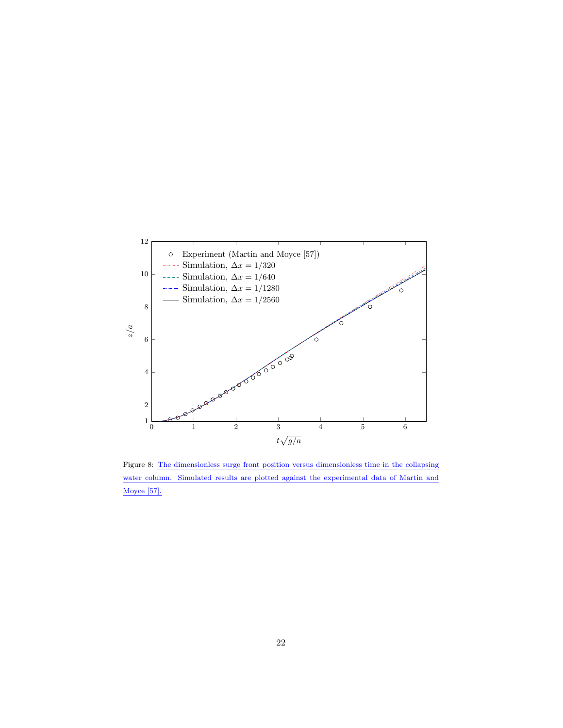

Figure 8: The dimensionless surge front position versus dimensionless time in the collapsing water column. Simulated results are plotted against the experimental data of Martin and Moyce [57].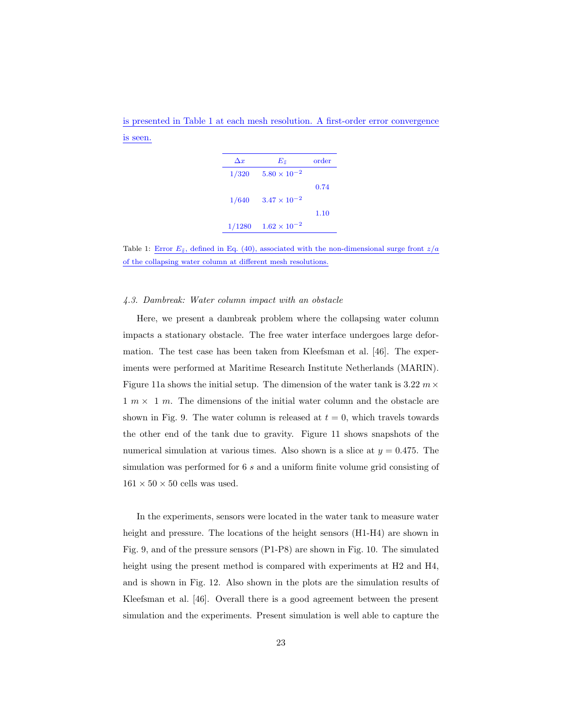is presented in Table 1 at each mesh resolution. A first-order error convergence is seen.

| $\Delta x$ | $E_{\tilde{z}}$       | order |
|------------|-----------------------|-------|
| 1/320      | $5.80 \times 10^{-2}$ |       |
|            |                       | 0.74  |
| 1/640      | $3.47 \times 10^{-2}$ |       |
|            |                       | 1.10  |
| 1/1280     | $1.62 \times 10^{-2}$ |       |

Table 1: Error  $E_{\tilde{z}}$ , defined in Eq. (40), associated with the non-dimensional surge front  $z/a$ of the collapsing water column at different mesh resolutions.

#### *4.3. Dambreak: Water column impact with an obstacle*

Here, we present a dambreak problem where the collapsing water column impacts a stationary obstacle. The free water interface undergoes large deformation. The test case has been taken from Kleefsman et al. [46]. The experiments were performed at Maritime Research Institute Netherlands (MARIN). Figure 11a shows the initial setup. The dimension of the water tank is 3.22  $m \times$  $1 m \times 1 m$ . The dimensions of the initial water column and the obstacle are shown in Fig. 9. The water column is released at  $t = 0$ , which travels towards the other end of the tank due to gravity. Figure 11 shows snapshots of the numerical simulation at various times. Also shown is a slice at  $y = 0.475$ . The simulation was performed for 6 s and a uniform finite volume grid consisting of  $161 \times 50 \times 50$  cells was used.

In the experiments, sensors were located in the water tank to measure water height and pressure. The locations of the height sensors (H1-H4) are shown in Fig. 9, and of the pressure sensors (P1-P8) are shown in Fig. 10. The simulated height using the present method is compared with experiments at H2 and H4, and is shown in Fig. 12. Also shown in the plots are the simulation results of Kleefsman et al. [46]. Overall there is a good agreement between the present simulation and the experiments. Present simulation is well able to capture the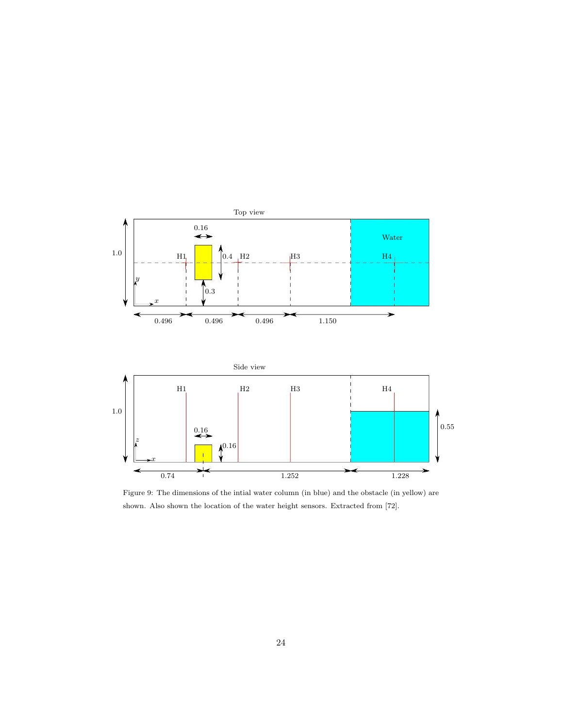

Figure 9: The dimensions of the intial water column (in blue) and the obstacle (in yellow) are shown. Also shown the location of the water height sensors. Extracted from [72].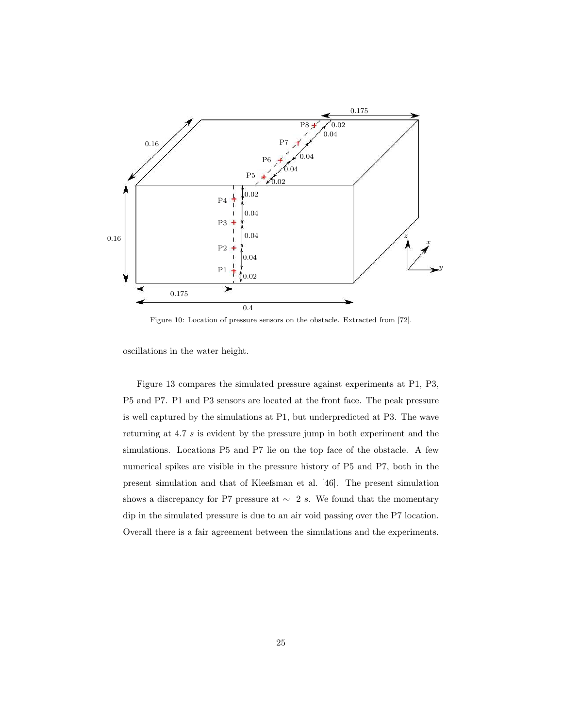

Figure 10: Location of pressure sensors on the obstacle. Extracted from [72].

oscillations in the water height.

Figure 13 compares the simulated pressure against experiments at P1, P3, P5 and P7. P1 and P3 sensors are located at the front face. The peak pressure is well captured by the simulations at P1, but underpredicted at P3. The wave returning at 4.7 s is evident by the pressure jump in both experiment and the simulations. Locations P5 and P7 lie on the top face of the obstacle. A few numerical spikes are visible in the pressure history of P5 and P7, both in the present simulation and that of Kleefsman et al. [46]. The present simulation shows a discrepancy for P7 pressure at  $\sim$  2 s. We found that the momentary dip in the simulated pressure is due to an air void passing over the P7 location. Overall there is a fair agreement between the simulations and the experiments.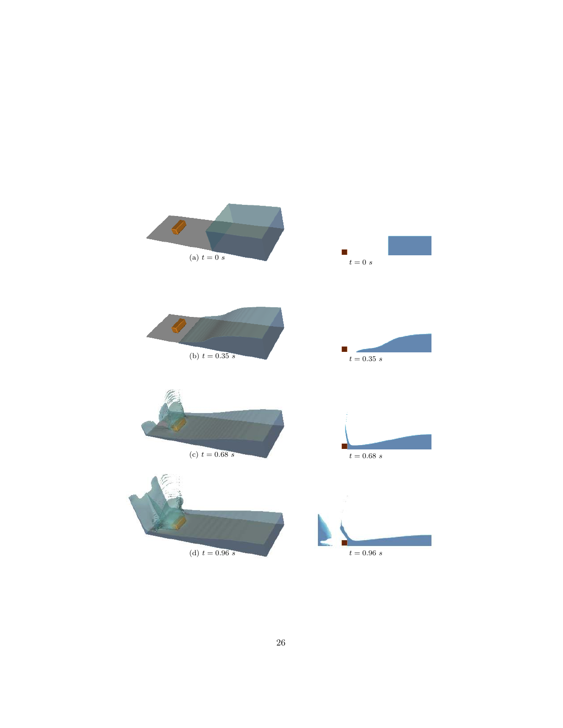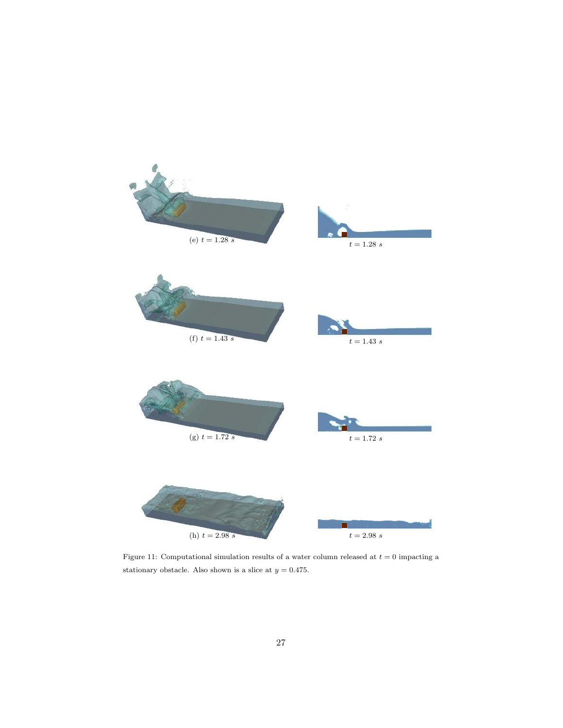

Figure 11: Computational simulation results of a water column released at  $t = 0$  impacting a stationary obstacle. Also shown is a slice at  $y = 0.475$ .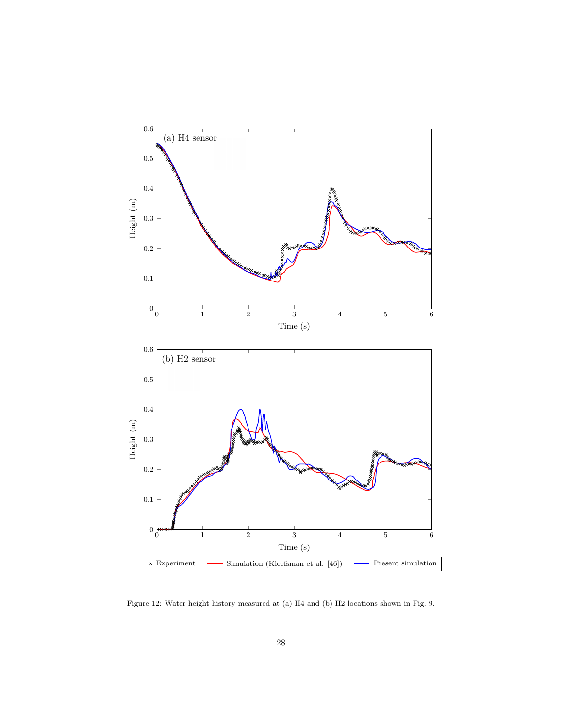

Figure 12: Water height history measured at (a) H4 and (b) H2 locations shown in Fig. 9.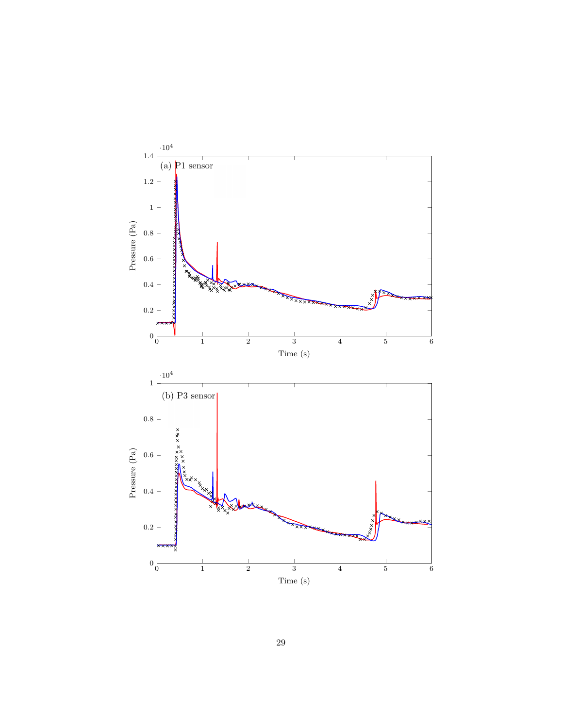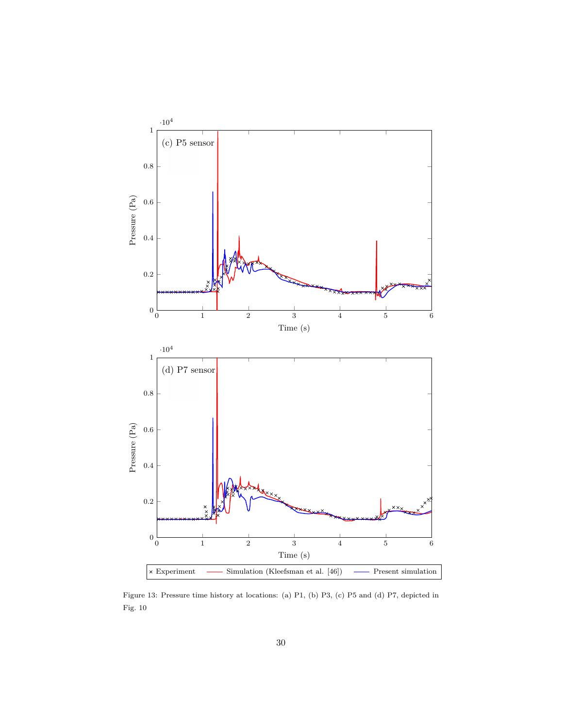

Figure 13: Pressure time history at locations: (a) P1, (b) P3, (c) P5 and (d) P7, depicted in Fig. 10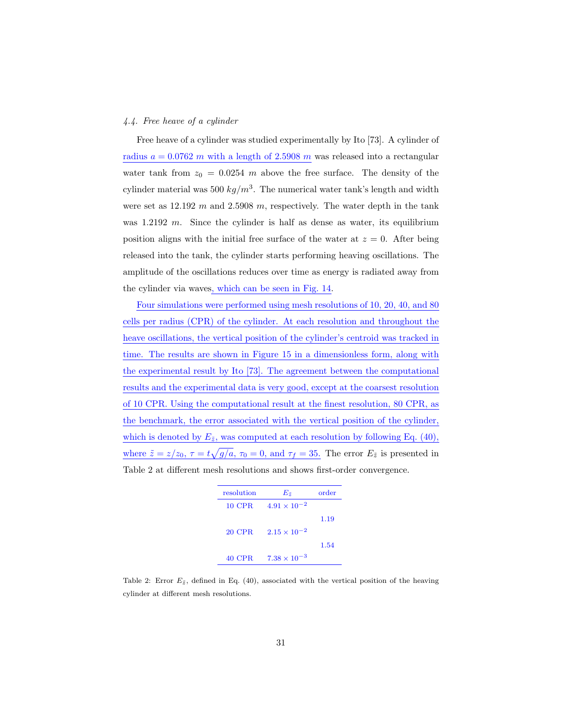### *4.4. Free heave of a cylinder*

Free heave of a cylinder was studied experimentally by Ito [73]. A cylinder of radius  $a = 0.0762$  m with a length of 2.5908 m was released into a rectangular water tank from  $z_0 = 0.0254$  m above the free surface. The density of the cylinder material was 500  $kg/m^3$ . The numerical water tank's length and width were set as  $12.192 \, m$  and  $2.5908 \, m$ , respectively. The water depth in the tank was  $1.2192$  m. Since the cylinder is half as dense as water, its equilibrium position aligns with the initial free surface of the water at  $z = 0$ . After being released into the tank, the cylinder starts performing heaving oscillations. The amplitude of the oscillations reduces over time as energy is radiated away from the cylinder via waves, which can be seen in Fig. 14.

Four simulations were performed using mesh resolutions of 10, 20, 40, and 80 cells per radius (CPR) of the cylinder. At each resolution and throughout the heave oscillations, the vertical position of the cylinder's centroid was tracked in time. The results are shown in Figure 15 in a dimensionless form, along with the experimental result by Ito [73]. The agreement between the computational results and the experimental data is very good, except at the coarsest resolution of 10 CPR. Using the computational result at the finest resolution, 80 CPR, as the benchmark, the error associated with the vertical position of the cylinder, which is denoted by  $E_{\tilde{z}}$ , was computed at each resolution by following Eq. (40), where  $\tilde{z} = z/z_0$ ,  $\tau = t\sqrt{g/a}$ ,  $\tau_0 = 0$ , and  $\tau_f = 35$ . The error  $E_{\tilde{z}}$  is presented in Table 2 at different mesh resolutions and shows first-order convergence.

| resolution | $E_{\tilde{z}}$       | order |
|------------|-----------------------|-------|
| 10 CPR     | $4.91 \times 10^{-2}$ |       |
|            |                       | 1.19  |
| 20 CPR.    | $2.15 \times 10^{-2}$ |       |
|            |                       | 1.54  |
| 40 CPR     | $7.38 \times 10^{-3}$ |       |

Table 2: Error  $E_{\tilde{z}}$ , defined in Eq. (40), associated with the vertical position of the heaving cylinder at different mesh resolutions.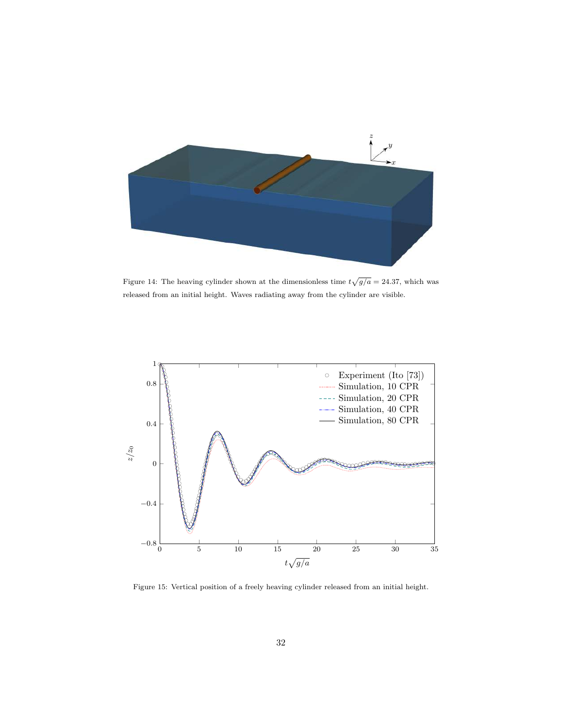

Figure 14: The heaving cylinder shown at the dimensionless time  $t\sqrt{g/a} = 24.37$ , which was released from an initial height. Waves radiating away from the cylinder are visible.



Figure 15: Vertical position of a freely heaving cylinder released from an initial height.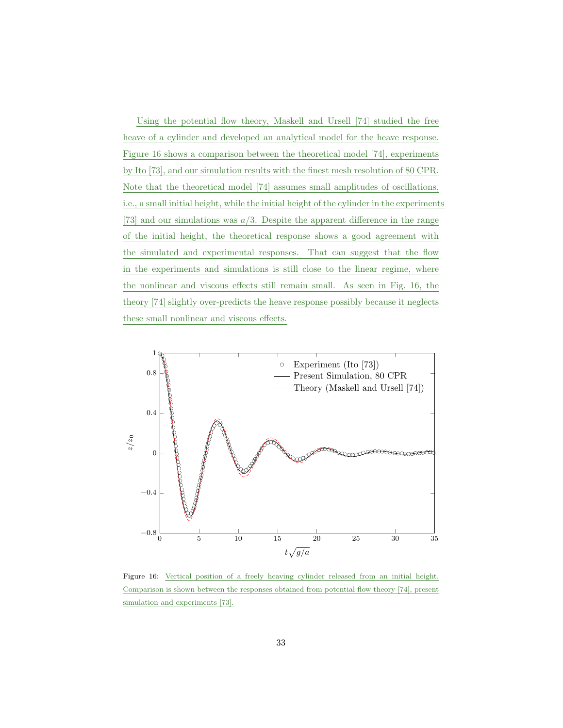Using the potential flow theory, Maskell and Ursell [74] studied the free heave of a cylinder and developed an analytical model for the heave response. Figure 16 shows a comparison between the theoretical model [74], experiments by Ito [73], and our simulation results with the finest mesh resolution of 80 CPR. Note that the theoretical model [74] assumes small amplitudes of oscillations, i.e., a small initial height, while the initial height of the cylinder in the experiments [73] and our simulations was  $a/3$ . Despite the apparent difference in the range of the initial height, the theoretical response shows a good agreement with the simulated and experimental responses. That can suggest that the flow in the experiments and simulations is still close to the linear regime, where the nonlinear and viscous effects still remain small. As seen in Fig. 16, the theory [74] slightly over-predicts the heave response possibly because it neglects these small nonlinear and viscous effects.



Figure 16: Vertical position of a freely heaving cylinder released from an initial height. Comparison is shown between the responses obtained from potential flow theory [74], present simulation and experiments [73].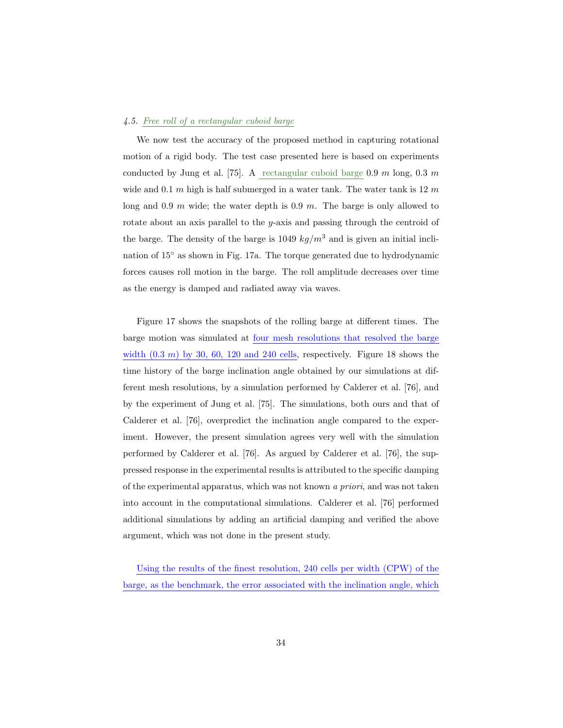#### *4.5. Free roll of a rectangular cuboid barge*

We now test the accuracy of the proposed method in capturing rotational motion of a rigid body. The test case presented here is based on experiments conducted by Jung et al. [75]. A rectangular cuboid barge 0.9 m long, 0.3 m wide and 0.1 m high is half submerged in a water tank. The water tank is  $12 m$ long and 0.9 m wide; the water depth is 0.9 m. The barge is only allowed to rotate about an axis parallel to the y-axis and passing through the centroid of the barge. The density of the barge is 1049  $kg/m^3$  and is given an initial inclination of 15◦ as shown in Fig. 17a. The torque generated due to hydrodynamic forces causes roll motion in the barge. The roll amplitude decreases over time as the energy is damped and radiated away via waves.

Figure 17 shows the snapshots of the rolling barge at different times. The barge motion was simulated at four mesh resolutions that resolved the barge width  $(0.3 \, m)$  by 30, 60, 120 and 240 cells, respectively. Figure 18 shows the time history of the barge inclination angle obtained by our simulations at different mesh resolutions, by a simulation performed by Calderer et al. [76], and by the experiment of Jung et al. [75]. The simulations, both ours and that of Calderer et al. [76], overpredict the inclination angle compared to the experiment. However, the present simulation agrees very well with the simulation performed by Calderer et al. [76]. As argued by Calderer et al. [76], the suppressed response in the experimental results is attributed to the specific damping of the experimental apparatus, which was not known *a priori*, and was not taken into account in the computational simulations. Calderer et al. [76] performed additional simulations by adding an artificial damping and verified the above argument, which was not done in the present study.

Using the results of the finest resolution, 240 cells per width (CPW) of the barge, as the benchmark, the error associated with the inclination angle, which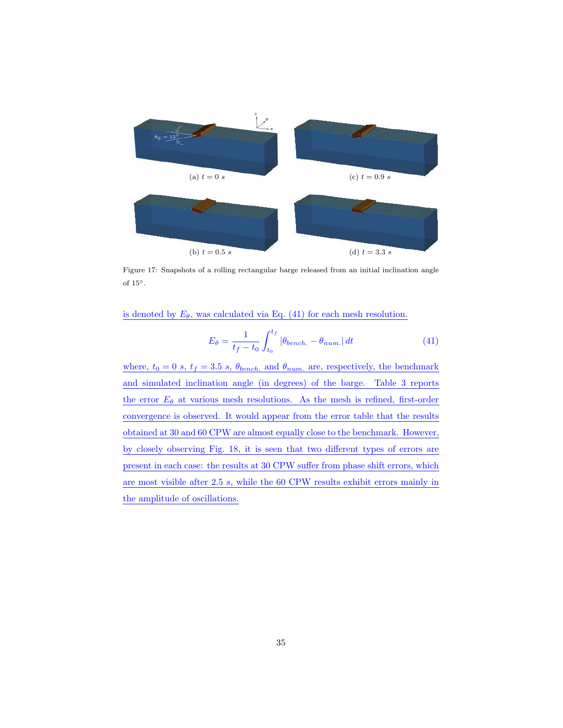

Figure 17: Snapshots of a rolling rectangular barge released from an initial inclination angle of  $15^\circ$ .

is denoted by  $E_{\theta}$ , was calculated via Eq. (41) for each mesh resolution.

$$
E_{\theta} = \frac{1}{t_f - t_0} \int_{t_0}^{t_f} |\theta_{bench.} - \theta_{num.}| dt
$$
 (41)

where,  $t_0 = 0$  s,  $t_f = 3.5$  s,  $\theta_{bench.}$  and  $\theta_{num.}$  are, respectively, the benchmark and simulated inclination angle (in degrees) of the barge. Table 3 reports the error  $E_{\theta}$  at various mesh resolutions. As the mesh is refined, first-order convergence is observed. It would appear from the error table that the results obtained at 30 and 60 CPW are almost equally close to the benchmark. However, by closely observing Fig. 18, it is seen that two different types of errors are present in each case: the results at 30 CPW suffer from phase shift errors, which are most visible after 2.5 s, while the 60 CPW results exhibit errors mainly in the amplitude of oscillations.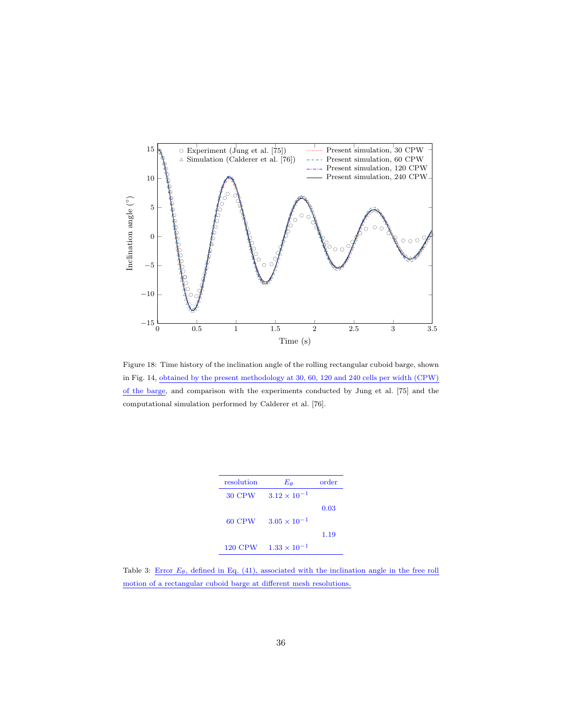

Figure 18: Time history of the inclination angle of the rolling rectangular cuboid barge, shown in Fig. 14, obtained by the present methodology at 30, 60, 120 and 240 cells per width (CPW) of the barge, and comparison with the experiments conducted by Jung et al. [75] and the computational simulation performed by Calderer et al. [76].

| resolution | $E_{\boldsymbol{\theta}}$ | order |
|------------|---------------------------|-------|
| 30 CPW     | $3.12 \times 10^{-1}$     |       |
|            |                           | 0.03  |
| 60 CPW     | $3.05 \times 10^{-1}$     |       |
|            |                           | 1.19  |
| 120 CPW    | $1.33 \times 10^{-1}$     |       |

Table 3: Error  $E_{\theta}$ , defined in Eq. (41), associated with the inclination angle in the free roll motion of a rectangular cuboid barge at different mesh resolutions.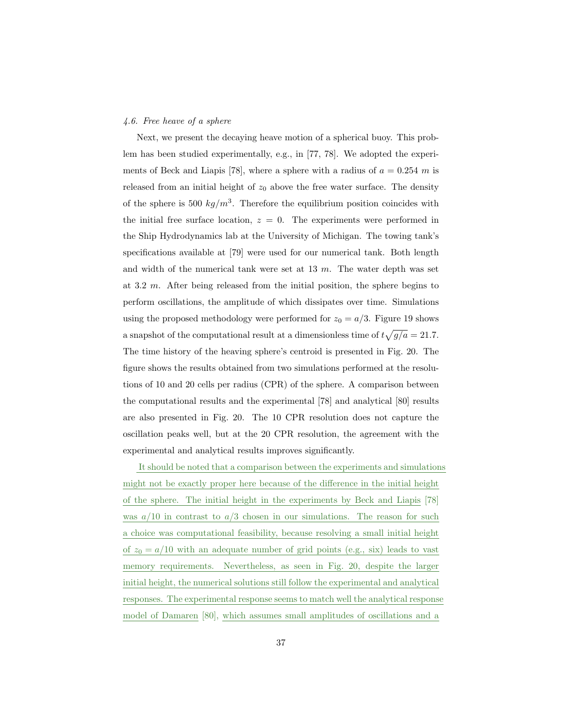#### *4.6. Free heave of a sphere*

Next, we present the decaying heave motion of a spherical buoy. This problem has been studied experimentally, e.g., in [77, 78]. We adopted the experiments of Beck and Liapis [78], where a sphere with a radius of  $a = 0.254$  m is released from an initial height of  $z_0$  above the free water surface. The density of the sphere is 500  $kg/m^3$ . Therefore the equilibrium position coincides with the initial free surface location,  $z = 0$ . The experiments were performed in the Ship Hydrodynamics lab at the University of Michigan. The towing tank's specifications available at [79] were used for our numerical tank. Both length and width of the numerical tank were set at  $13 \, m$ . The water depth was set at 3.2 m. After being released from the initial position, the sphere begins to perform oscillations, the amplitude of which dissipates over time. Simulations using the proposed methodology were performed for  $z_0 = a/3$ . Figure 19 shows a snapshot of the computational result at a dimensionless time of  $t\sqrt{g/a} = 21.7$ . The time history of the heaving sphere's centroid is presented in Fig. 20. The figure shows the results obtained from two simulations performed at the resolutions of 10 and 20 cells per radius (CPR) of the sphere. A comparison between the computational results and the experimental [78] and analytical [80] results are also presented in Fig. 20. The 10 CPR resolution does not capture the oscillation peaks well, but at the 20 CPR resolution, the agreement with the experimental and analytical results improves significantly.

It should be noted that a comparison between the experiments and simulations might not be exactly proper here because of the difference in the initial height of the sphere. The initial height in the experiments by Beck and Liapis [78] was  $a/10$  in contrast to  $a/3$  chosen in our simulations. The reason for such a choice was computational feasibility, because resolving a small initial height of  $z_0 = a/10$  with an adequate number of grid points (e.g., six) leads to vast memory requirements. Nevertheless, as seen in Fig. 20, despite the larger initial height, the numerical solutions still follow the experimental and analytical responses. The experimental response seems to match well the analytical response model of Damaren [80], which assumes small amplitudes of oscillations and a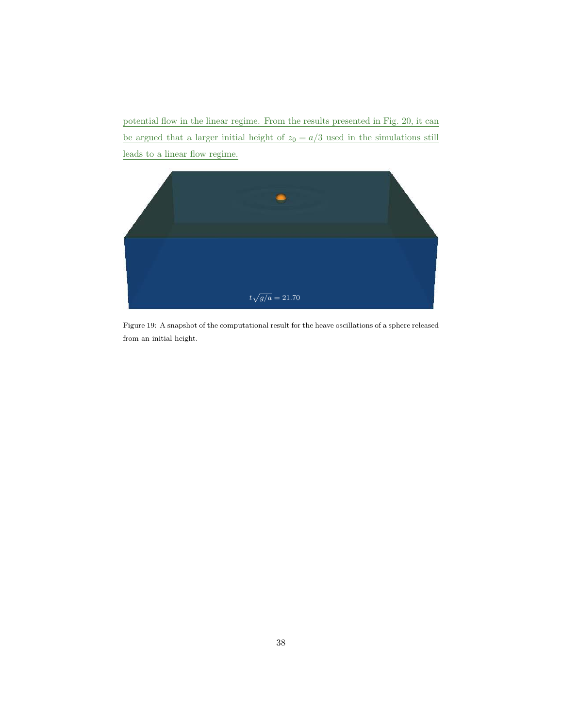potential flow in the linear regime. From the results presented in Fig. 20, it can be argued that a larger initial height of  $z_0 = a/3$  used in the simulations still leads to a linear flow regime.



Figure 19: A snapshot of the computational result for the heave oscillations of a sphere released from an initial height.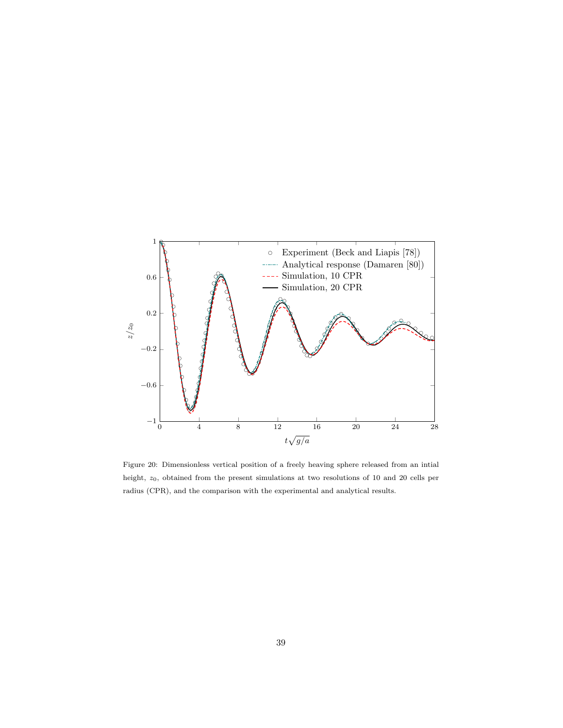

Figure 20: Dimensionless vertical position of a freely heaving sphere released from an intial height,  $z_0$ , obtained from the present simulations at two resolutions of 10 and 20 cells per radius (CPR), and the comparison with the experimental and analytical results.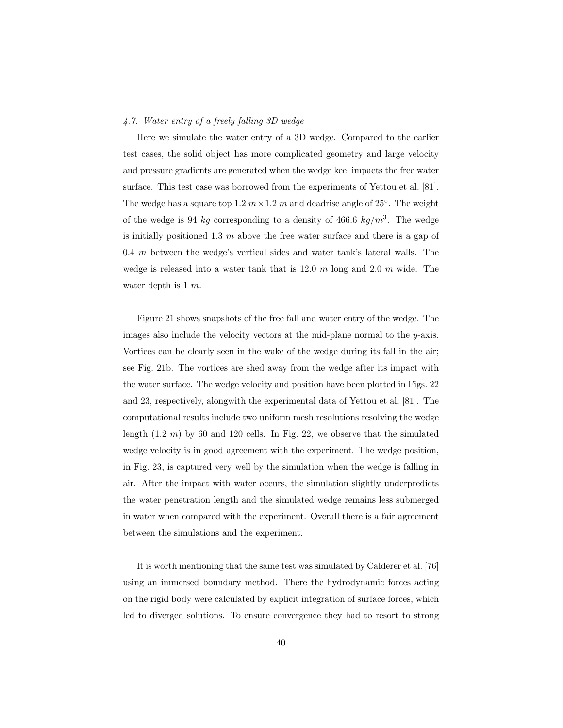## *4.7. Water entry of a freely falling 3D wedge*

Here we simulate the water entry of a 3D wedge. Compared to the earlier test cases, the solid object has more complicated geometry and large velocity and pressure gradients are generated when the wedge keel impacts the free water surface. This test case was borrowed from the experiments of Yettou et al. [81]. The wedge has a square top 1.2  $m \times 1.2$  m and deadrise angle of 25°. The weight of the wedge is 94 kg corresponding to a density of 466.6  $kg/m<sup>3</sup>$ . The wedge is initially positioned 1.3  $m$  above the free water surface and there is a gap of  $0.4 \, m$  between the wedge's vertical sides and water tank's lateral walls. The wedge is released into a water tank that is  $12.0 \, m$  long and  $2.0 \, m$  wide. The water depth is  $1 \, m$ .

Figure 21 shows snapshots of the free fall and water entry of the wedge. The images also include the velocity vectors at the mid-plane normal to the  $y$ -axis. Vortices can be clearly seen in the wake of the wedge during its fall in the air; see Fig. 21b. The vortices are shed away from the wedge after its impact with the water surface. The wedge velocity and position have been plotted in Figs. 22 and 23, respectively, alongwith the experimental data of Yettou et al. [81]. The computational results include two uniform mesh resolutions resolving the wedge length  $(1.2 \, m)$  by 60 and 120 cells. In Fig. 22, we observe that the simulated wedge velocity is in good agreement with the experiment. The wedge position, in Fig. 23, is captured very well by the simulation when the wedge is falling in air. After the impact with water occurs, the simulation slightly underpredicts the water penetration length and the simulated wedge remains less submerged in water when compared with the experiment. Overall there is a fair agreement between the simulations and the experiment.

It is worth mentioning that the same test was simulated by Calderer et al. [76] using an immersed boundary method. There the hydrodynamic forces acting on the rigid body were calculated by explicit integration of surface forces, which led to diverged solutions. To ensure convergence they had to resort to strong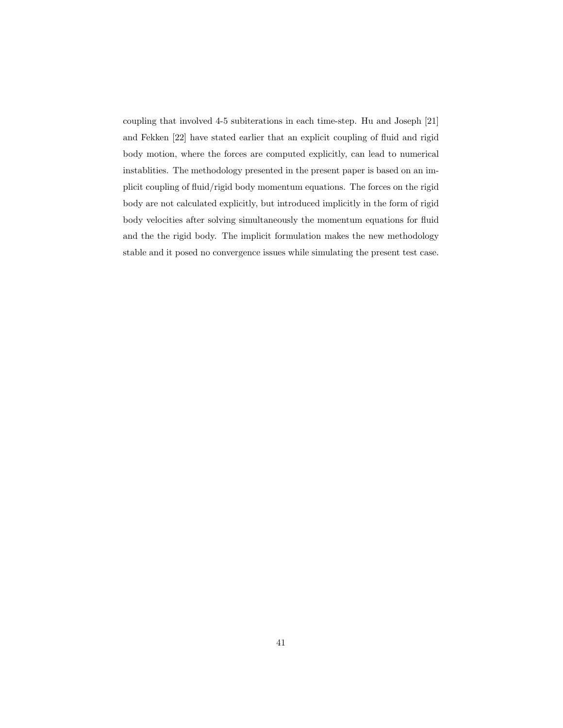coupling that involved 4-5 subiterations in each time-step. Hu and Joseph [21] and Fekken [22] have stated earlier that an explicit coupling of fluid and rigid body motion, where the forces are computed explicitly, can lead to numerical instablities. The methodology presented in the present paper is based on an implicit coupling of fluid/rigid body momentum equations. The forces on the rigid body are not calculated explicitly, but introduced implicitly in the form of rigid body velocities after solving simultaneously the momentum equations for fluid and the the rigid body. The implicit formulation makes the new methodology stable and it posed no convergence issues while simulating the present test case.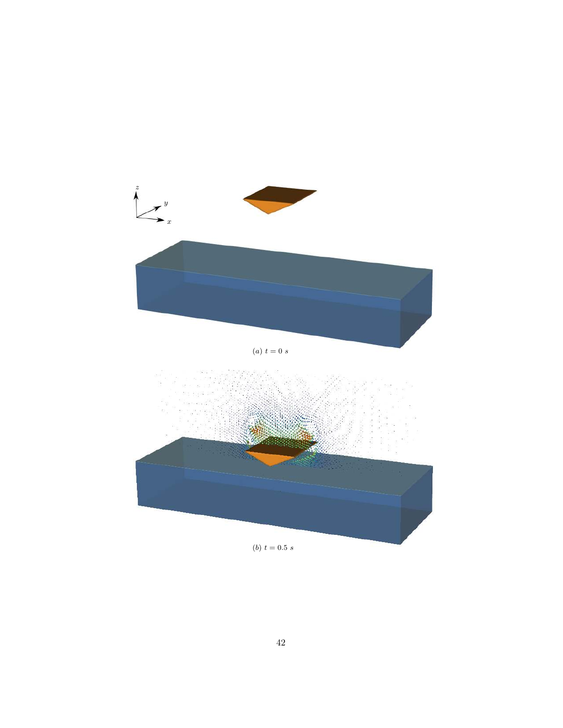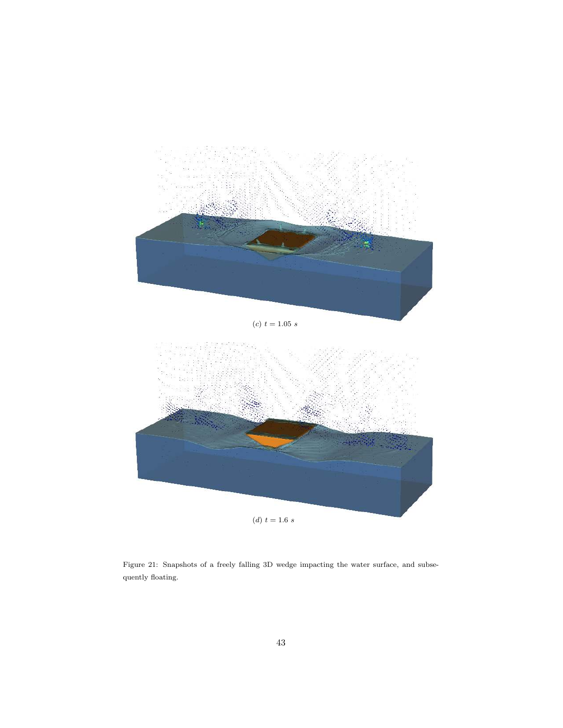

Figure 21: Snapshots of a freely falling 3D wedge impacting the water surface, and subsequently floating.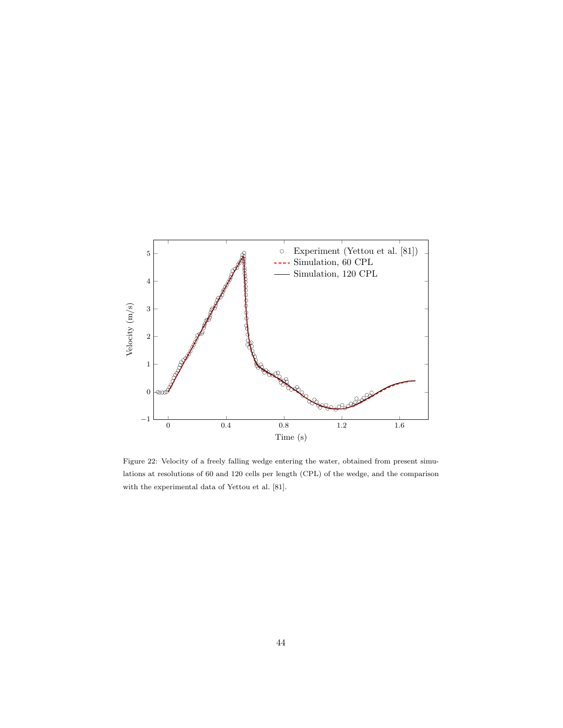

Figure 22: Velocity of a freely falling wedge entering the water, obtained from present simulations at resolutions of 60 and 120 cells per length (CPL) of the wedge, and the comparison with the experimental data of Yettou et al. [81].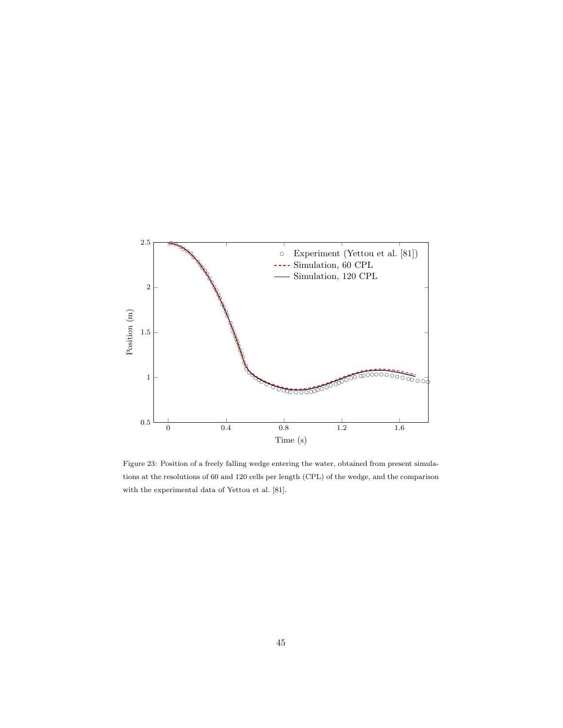

Figure 23: Position of a freely falling wedge entering the water, obtained from present simulations at the resolutions of 60 and 120 cells per length (CPL) of the wedge, and the comparison with the experimental data of Yettou et al. [81].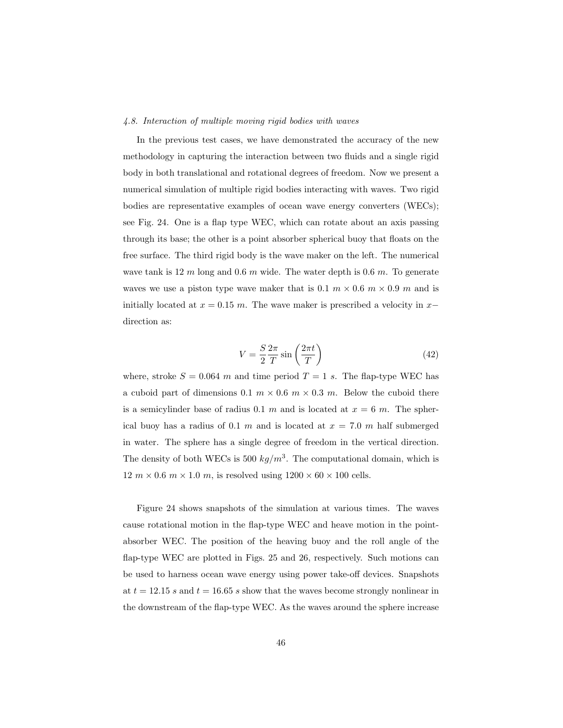### *4.8. Interaction of multiple moving rigid bodies with waves*

In the previous test cases, we have demonstrated the accuracy of the new methodology in capturing the interaction between two fluids and a single rigid body in both translational and rotational degrees of freedom. Now we present a numerical simulation of multiple rigid bodies interacting with waves. Two rigid bodies are representative examples of ocean wave energy converters (WECs); see Fig. 24. One is a flap type WEC, which can rotate about an axis passing through its base; the other is a point absorber spherical buoy that floats on the free surface. The third rigid body is the wave maker on the left. The numerical wave tank is  $12 \, m$  long and  $0.6 \, m$  wide. The water depth is  $0.6 \, m$ . To generate waves we use a piston type wave maker that is 0.1  $m \times 0.6$   $m \times 0.9$  m and is initially located at  $x = 0.15$  m. The wave maker is prescribed a velocity in  $x$ direction as:

$$
V = \frac{S}{2} \frac{2\pi}{T} \sin\left(\frac{2\pi t}{T}\right) \tag{42}
$$

where, stroke  $S = 0.064$  m and time period  $T = 1$  s. The flap-type WEC has a cuboid part of dimensions 0.1  $m \times 0.6$   $m \times 0.3$   $m$ . Below the cuboid there is a semicylinder base of radius 0.1 m and is located at  $x = 6$  m. The spherical buoy has a radius of 0.1 m and is located at  $x = 7.0$  m half submerged in water. The sphere has a single degree of freedom in the vertical direction. The density of both WECs is 500  $kg/m^3$ . The computational domain, which is 12  $m \times 0.6$   $m \times 1.0$   $m$ , is resolved using  $1200 \times 60 \times 100$  cells.

Figure 24 shows snapshots of the simulation at various times. The waves cause rotational motion in the flap-type WEC and heave motion in the pointabsorber WEC. The position of the heaving buoy and the roll angle of the flap-type WEC are plotted in Figs. 25 and 26, respectively. Such motions can be used to harness ocean wave energy using power take-off devices. Snapshots at  $t = 12.15$  s and  $t = 16.65$  s show that the waves become strongly nonlinear in the downstream of the flap-type WEC. As the waves around the sphere increase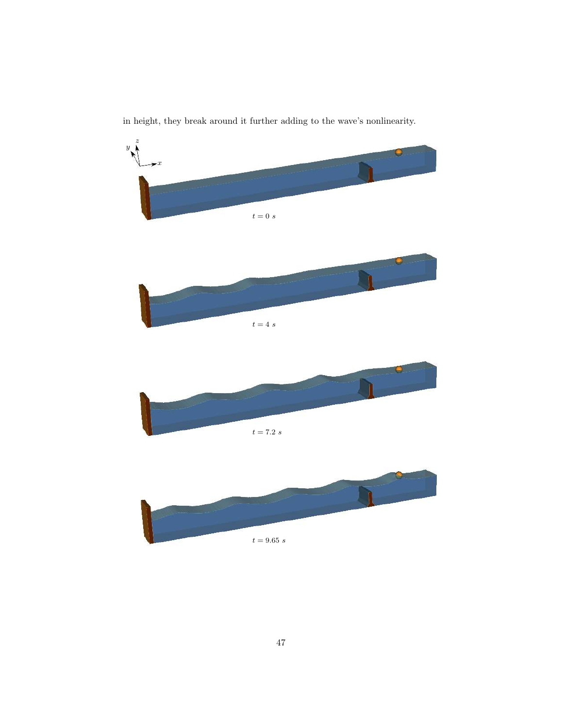z  $\mathbf{y}$  $\bigstar$  $t = 0$  s  $t = 4 \ s$  $\blacksquare$  $t=7.2\ s$  $t=9.65\ s$ 

in height, they break around it further adding to the wave's nonlinearity.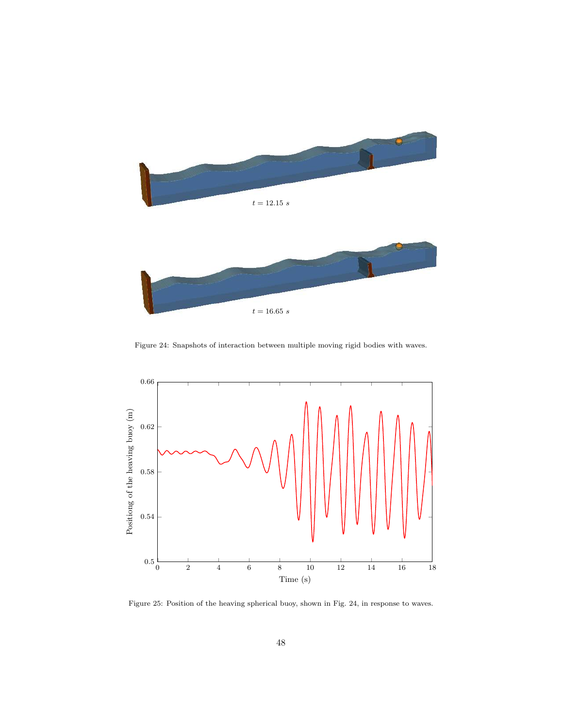

Figure 24: Snapshots of interaction between multiple moving rigid bodies with waves.



Figure 25: Position of the heaving spherical buoy, shown in Fig. 24, in response to waves.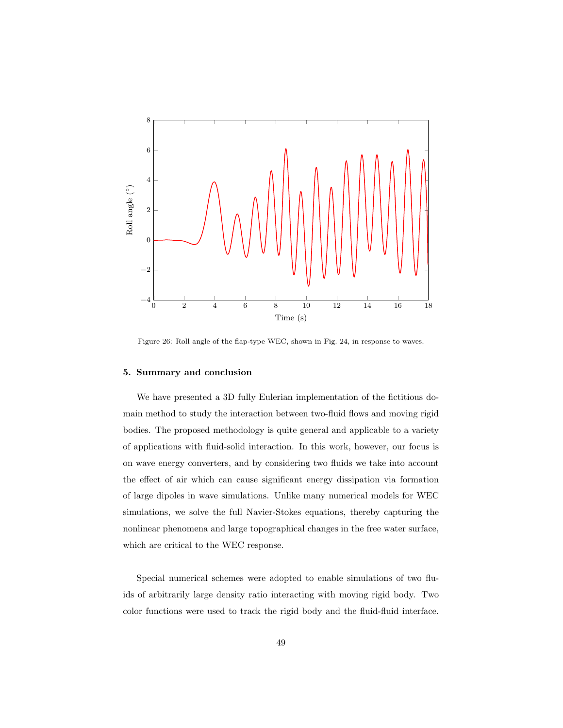

Figure 26: Roll angle of the flap-type WEC, shown in Fig. 24, in response to waves.

#### 5. Summary and conclusion

We have presented a 3D fully Eulerian implementation of the fictitious domain method to study the interaction between two-fluid flows and moving rigid bodies. The proposed methodology is quite general and applicable to a variety of applications with fluid-solid interaction. In this work, however, our focus is on wave energy converters, and by considering two fluids we take into account the effect of air which can cause significant energy dissipation via formation of large dipoles in wave simulations. Unlike many numerical models for WEC simulations, we solve the full Navier-Stokes equations, thereby capturing the nonlinear phenomena and large topographical changes in the free water surface, which are critical to the WEC response.

Special numerical schemes were adopted to enable simulations of two fluids of arbitrarily large density ratio interacting with moving rigid body. Two color functions were used to track the rigid body and the fluid-fluid interface.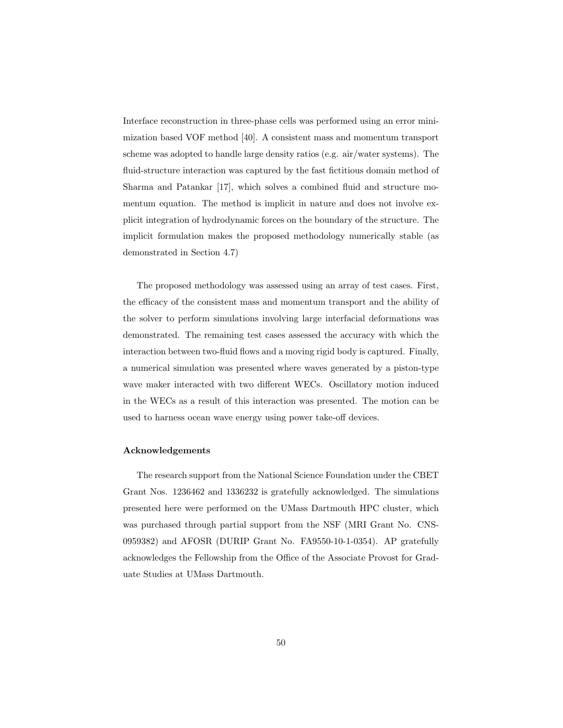Interface reconstruction in three-phase cells was performed using an error minimization based VOF method [40]. A consistent mass and momentum transport scheme was adopted to handle large density ratios (e.g. air/water systems). The fluid-structure interaction was captured by the fast fictitious domain method of Sharma and Patankar [17], which solves a combined fluid and structure momentum equation. The method is implicit in nature and does not involve explicit integration of hydrodynamic forces on the boundary of the structure. The implicit formulation makes the proposed methodology numerically stable (as demonstrated in Section 4.7)

The proposed methodology was assessed using an array of test cases. First, the efficacy of the consistent mass and momentum transport and the ability of the solver to perform simulations involving large interfacial deformations was demonstrated. The remaining test cases assessed the accuracy with which the interaction between two-fluid flows and a moving rigid body is captured. Finally, a numerical simulation was presented where waves generated by a piston-type wave maker interacted with two different WECs. Oscillatory motion induced in the WECs as a result of this interaction was presented. The motion can be used to harness ocean wave energy using power take-off devices.

### Acknowledgements

The research support from the National Science Foundation under the CBET Grant Nos. 1236462 and 1336232 is gratefully acknowledged. The simulations presented here were performed on the UMass Dartmouth HPC cluster, which was purchased through partial support from the NSF (MRI Grant No. CNS-0959382) and AFOSR (DURIP Grant No. FA9550-10-1-0354). AP gratefully acknowledges the Fellowship from the Office of the Associate Provost for Graduate Studies at UMass Dartmouth.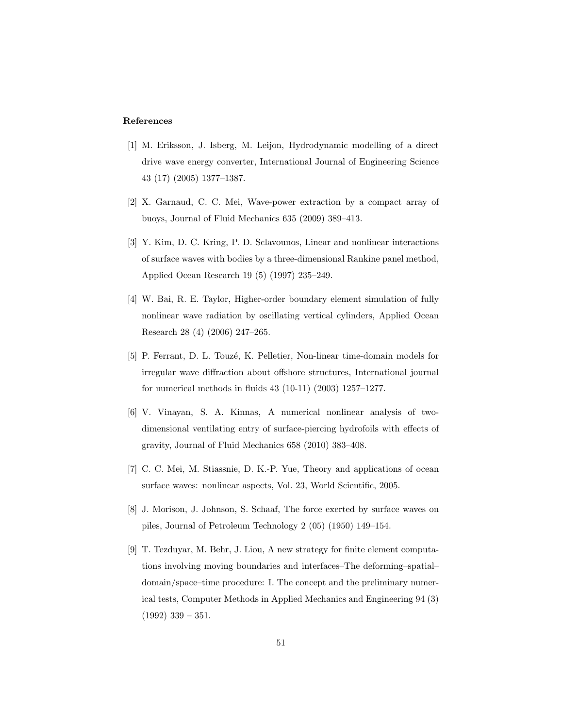#### References

- [1] M. Eriksson, J. Isberg, M. Leijon, Hydrodynamic modelling of a direct drive wave energy converter, International Journal of Engineering Science 43 (17) (2005) 1377–1387.
- [2] X. Garnaud, C. C. Mei, Wave-power extraction by a compact array of buoys, Journal of Fluid Mechanics 635 (2009) 389–413.
- [3] Y. Kim, D. C. Kring, P. D. Sclavounos, Linear and nonlinear interactions of surface waves with bodies by a three-dimensional Rankine panel method, Applied Ocean Research 19 (5) (1997) 235–249.
- [4] W. Bai, R. E. Taylor, Higher-order boundary element simulation of fully nonlinear wave radiation by oscillating vertical cylinders, Applied Ocean Research 28 (4) (2006) 247–265.
- [5] P. Ferrant, D. L. Touzé, K. Pelletier, Non-linear time-domain models for irregular wave diffraction about offshore structures, International journal for numerical methods in fluids 43 (10-11) (2003) 1257–1277.
- [6] V. Vinayan, S. A. Kinnas, A numerical nonlinear analysis of twodimensional ventilating entry of surface-piercing hydrofoils with effects of gravity, Journal of Fluid Mechanics 658 (2010) 383–408.
- [7] C. C. Mei, M. Stiassnie, D. K.-P. Yue, Theory and applications of ocean surface waves: nonlinear aspects, Vol. 23, World Scientific, 2005.
- [8] J. Morison, J. Johnson, S. Schaaf, The force exerted by surface waves on piles, Journal of Petroleum Technology 2 (05) (1950) 149–154.
- [9] T. Tezduyar, M. Behr, J. Liou, A new strategy for finite element computations involving moving boundaries and interfaces–The deforming–spatial– domain/space–time procedure: I. The concept and the preliminary numerical tests, Computer Methods in Applied Mechanics and Engineering 94 (3)  $(1992)$  339 – 351.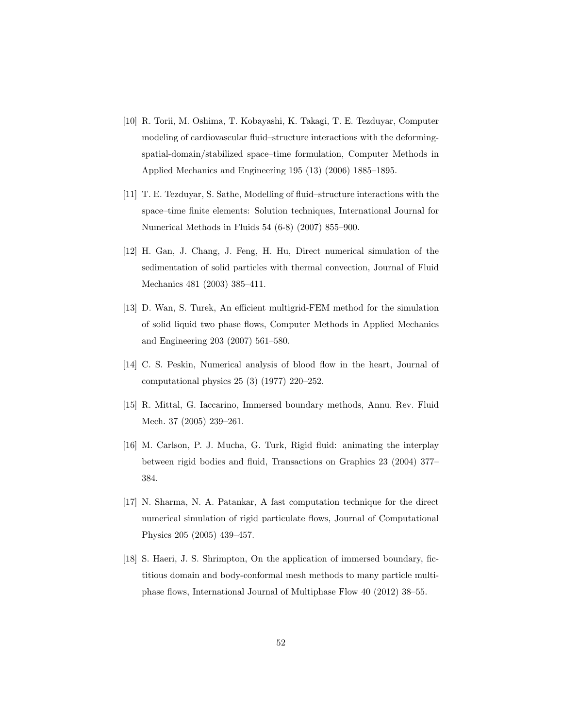- [10] R. Torii, M. Oshima, T. Kobayashi, K. Takagi, T. E. Tezduyar, Computer modeling of cardiovascular fluid–structure interactions with the deformingspatial-domain/stabilized space–time formulation, Computer Methods in Applied Mechanics and Engineering 195 (13) (2006) 1885–1895.
- [11] T. E. Tezduyar, S. Sathe, Modelling of fluid–structure interactions with the space–time finite elements: Solution techniques, International Journal for Numerical Methods in Fluids 54 (6-8) (2007) 855–900.
- [12] H. Gan, J. Chang, J. Feng, H. Hu, Direct numerical simulation of the sedimentation of solid particles with thermal convection, Journal of Fluid Mechanics 481 (2003) 385–411.
- [13] D. Wan, S. Turek, An efficient multigrid-FEM method for the simulation of solid liquid two phase flows, Computer Methods in Applied Mechanics and Engineering 203 (2007) 561–580.
- [14] C. S. Peskin, Numerical analysis of blood flow in the heart, Journal of computational physics 25 (3) (1977) 220–252.
- [15] R. Mittal, G. Iaccarino, Immersed boundary methods, Annu. Rev. Fluid Mech. 37 (2005) 239–261.
- [16] M. Carlson, P. J. Mucha, G. Turk, Rigid fluid: animating the interplay between rigid bodies and fluid, Transactions on Graphics 23 (2004) 377– 384.
- [17] N. Sharma, N. A. Patankar, A fast computation technique for the direct numerical simulation of rigid particulate flows, Journal of Computational Physics 205 (2005) 439–457.
- [18] S. Haeri, J. S. Shrimpton, On the application of immersed boundary, fictitious domain and body-conformal mesh methods to many particle multiphase flows, International Journal of Multiphase Flow 40 (2012) 38–55.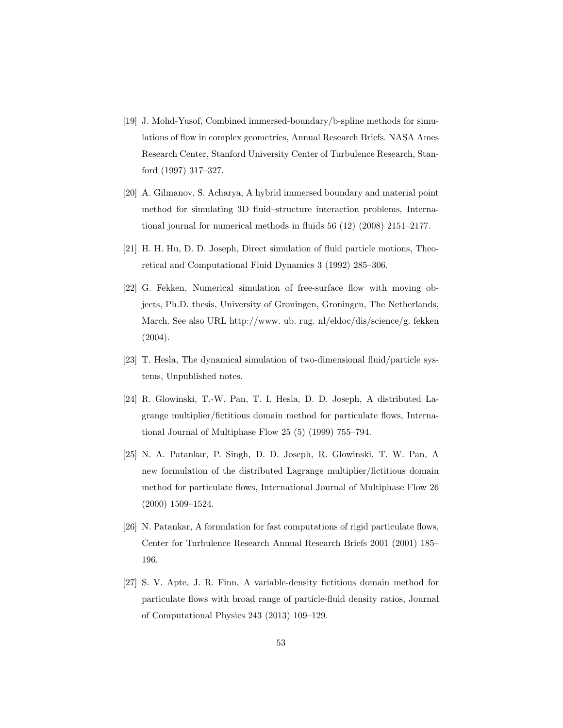- [19] J. Mohd-Yusof, Combined immersed-boundary/b-spline methods for simulations of flow in complex geometries, Annual Research Briefs. NASA Ames Research Center, Stanford University Center of Turbulence Research, Stanford (1997) 317–327.
- [20] A. Gilmanov, S. Acharya, A hybrid immersed boundary and material point method for simulating 3D fluid–structure interaction problems, International journal for numerical methods in fluids 56 (12) (2008) 2151–2177.
- [21] H. H. Hu, D. D. Joseph, Direct simulation of fluid particle motions, Theoretical and Computational Fluid Dynamics 3 (1992) 285–306.
- [22] G. Fekken, Numerical simulation of free-surface flow with moving objects, Ph.D. thesis, University of Groningen, Groningen, The Netherlands, March. See also URL http://www. ub. rug. nl/eldoc/dis/science/g. fekken (2004).
- [23] T. Hesla, The dynamical simulation of two-dimensional fluid/particle systems, Unpublished notes.
- [24] R. Glowinski, T.-W. Pan, T. I. Hesla, D. D. Joseph, A distributed Lagrange multiplier/fictitious domain method for particulate flows, International Journal of Multiphase Flow 25 (5) (1999) 755–794.
- [25] N. A. Patankar, P. Singh, D. D. Joseph, R. Glowinski, T. W. Pan, A new formulation of the distributed Lagrange multiplier/fictitious domain method for particulate flows, International Journal of Multiphase Flow 26 (2000) 1509–1524.
- [26] N. Patankar, A formulation for fast computations of rigid particulate flows, Center for Turbulence Research Annual Research Briefs 2001 (2001) 185– 196.
- [27] S. V. Apte, J. R. Finn, A variable-density fictitious domain method for particulate flows with broad range of particle-fluid density ratios, Journal of Computational Physics 243 (2013) 109–129.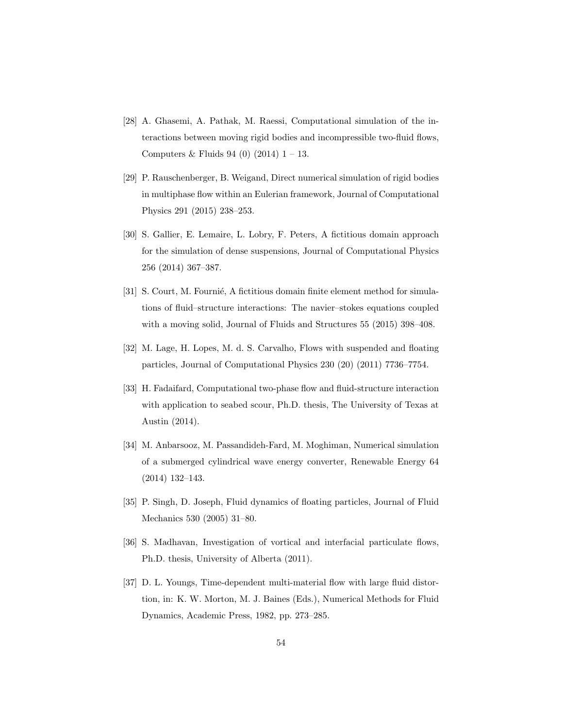- [28] A. Ghasemi, A. Pathak, M. Raessi, Computational simulation of the interactions between moving rigid bodies and incompressible two-fluid flows, Computers & Fluids 94 (0)  $(2014)$  1 – 13.
- [29] P. Rauschenberger, B. Weigand, Direct numerical simulation of rigid bodies in multiphase flow within an Eulerian framework, Journal of Computational Physics 291 (2015) 238–253.
- [30] S. Gallier, E. Lemaire, L. Lobry, F. Peters, A fictitious domain approach for the simulation of dense suspensions, Journal of Computational Physics 256 (2014) 367–387.
- [31] S. Court, M. Fournié, A fictitious domain finite element method for simulations of fluid–structure interactions: The navier–stokes equations coupled with a moving solid, Journal of Fluids and Structures 55 (2015) 398–408.
- [32] M. Lage, H. Lopes, M. d. S. Carvalho, Flows with suspended and floating particles, Journal of Computational Physics 230 (20) (2011) 7736–7754.
- [33] H. Fadaifard, Computational two-phase flow and fluid-structure interaction with application to seabed scour, Ph.D. thesis, The University of Texas at Austin (2014).
- [34] M. Anbarsooz, M. Passandideh-Fard, M. Moghiman, Numerical simulation of a submerged cylindrical wave energy converter, Renewable Energy 64 (2014) 132–143.
- [35] P. Singh, D. Joseph, Fluid dynamics of floating particles, Journal of Fluid Mechanics 530 (2005) 31–80.
- [36] S. Madhavan, Investigation of vortical and interfacial particulate flows, Ph.D. thesis, University of Alberta (2011).
- [37] D. L. Youngs, Time-dependent multi-material flow with large fluid distortion, in: K. W. Morton, M. J. Baines (Eds.), Numerical Methods for Fluid Dynamics, Academic Press, 1982, pp. 273–285.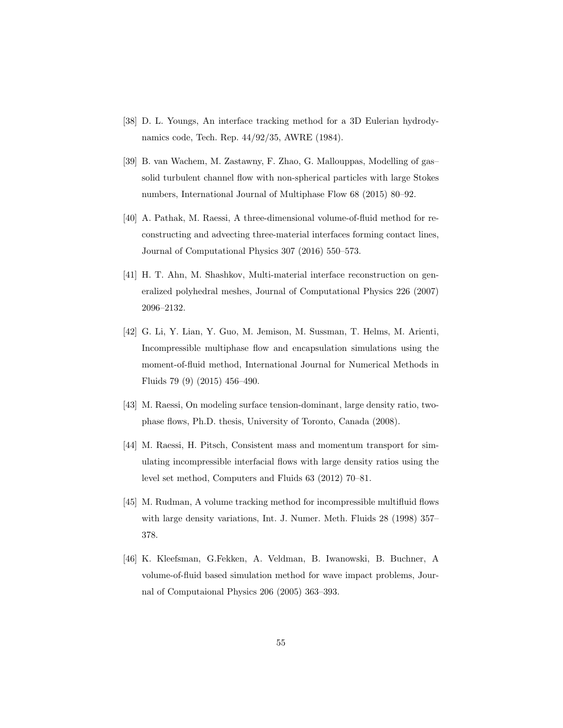- [38] D. L. Youngs, An interface tracking method for a 3D Eulerian hydrodynamics code, Tech. Rep. 44/92/35, AWRE (1984).
- [39] B. van Wachem, M. Zastawny, F. Zhao, G. Mallouppas, Modelling of gas– solid turbulent channel flow with non-spherical particles with large Stokes numbers, International Journal of Multiphase Flow 68 (2015) 80–92.
- [40] A. Pathak, M. Raessi, A three-dimensional volume-of-fluid method for reconstructing and advecting three-material interfaces forming contact lines, Journal of Computational Physics 307 (2016) 550–573.
- [41] H. T. Ahn, M. Shashkov, Multi-material interface reconstruction on generalized polyhedral meshes, Journal of Computational Physics 226 (2007) 2096–2132.
- [42] G. Li, Y. Lian, Y. Guo, M. Jemison, M. Sussman, T. Helms, M. Arienti, Incompressible multiphase flow and encapsulation simulations using the moment-of-fluid method, International Journal for Numerical Methods in Fluids 79 (9) (2015) 456–490.
- [43] M. Raessi, On modeling surface tension-dominant, large density ratio, twophase flows, Ph.D. thesis, University of Toronto, Canada (2008).
- [44] M. Raessi, H. Pitsch, Consistent mass and momentum transport for simulating incompressible interfacial flows with large density ratios using the level set method, Computers and Fluids 63 (2012) 70–81.
- [45] M. Rudman, A volume tracking method for incompressible multifluid flows with large density variations, Int. J. Numer. Meth. Fluids 28 (1998) 357– 378.
- [46] K. Kleefsman, G.Fekken, A. Veldman, B. Iwanowski, B. Buchner, A volume-of-fluid based simulation method for wave impact problems, Journal of Computaional Physics 206 (2005) 363–393.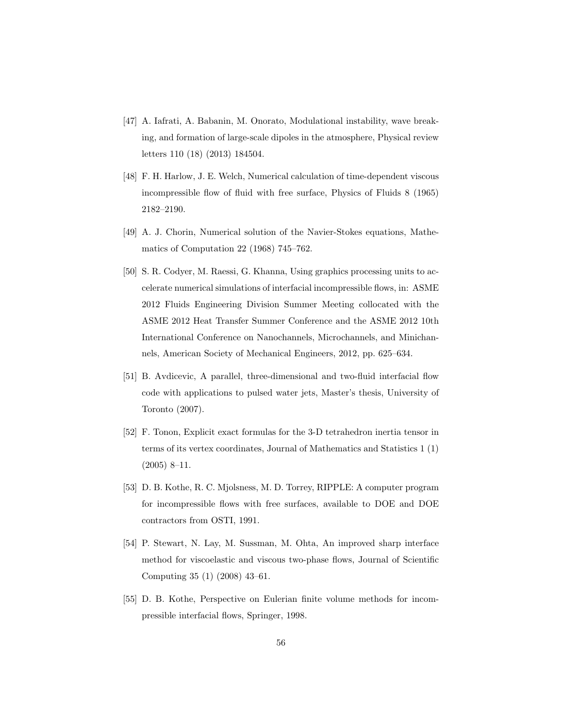- [47] A. Iafrati, A. Babanin, M. Onorato, Modulational instability, wave breaking, and formation of large-scale dipoles in the atmosphere, Physical review letters 110 (18) (2013) 184504.
- [48] F. H. Harlow, J. E. Welch, Numerical calculation of time-dependent viscous incompressible flow of fluid with free surface, Physics of Fluids 8 (1965) 2182–2190.
- [49] A. J. Chorin, Numerical solution of the Navier-Stokes equations, Mathematics of Computation 22 (1968) 745–762.
- [50] S. R. Codyer, M. Raessi, G. Khanna, Using graphics processing units to accelerate numerical simulations of interfacial incompressible flows, in: ASME 2012 Fluids Engineering Division Summer Meeting collocated with the ASME 2012 Heat Transfer Summer Conference and the ASME 2012 10th International Conference on Nanochannels, Microchannels, and Minichannels, American Society of Mechanical Engineers, 2012, pp. 625–634.
- [51] B. Avdicevic, A parallel, three-dimensional and two-fluid interfacial flow code with applications to pulsed water jets, Master's thesis, University of Toronto (2007).
- [52] F. Tonon, Explicit exact formulas for the 3-D tetrahedron inertia tensor in terms of its vertex coordinates, Journal of Mathematics and Statistics 1 (1) (2005) 8–11.
- [53] D. B. Kothe, R. C. Mjolsness, M. D. Torrey, RIPPLE: A computer program for incompressible flows with free surfaces, available to DOE and DOE contractors from OSTI, 1991.
- [54] P. Stewart, N. Lay, M. Sussman, M. Ohta, An improved sharp interface method for viscoelastic and viscous two-phase flows, Journal of Scientific Computing 35 (1) (2008) 43–61.
- [55] D. B. Kothe, Perspective on Eulerian finite volume methods for incompressible interfacial flows, Springer, 1998.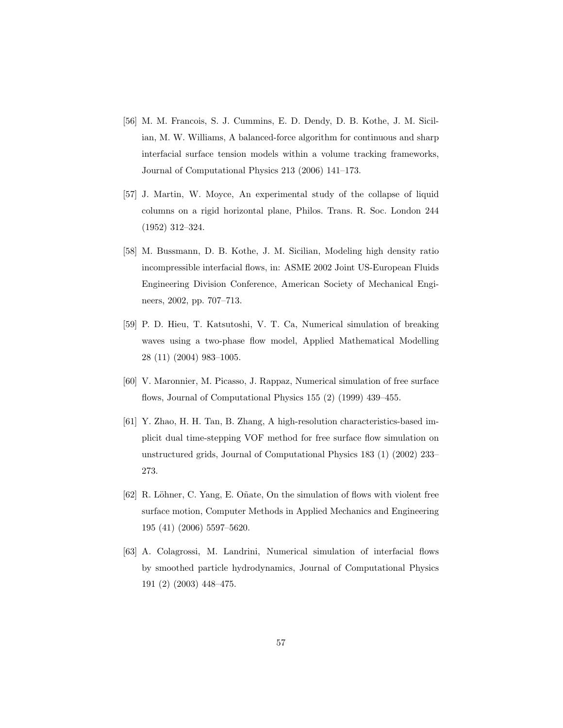- [56] M. M. Francois, S. J. Cummins, E. D. Dendy, D. B. Kothe, J. M. Sicilian, M. W. Williams, A balanced-force algorithm for continuous and sharp interfacial surface tension models within a volume tracking frameworks, Journal of Computational Physics 213 (2006) 141–173.
- [57] J. Martin, W. Moyce, An experimental study of the collapse of liquid columns on a rigid horizontal plane, Philos. Trans. R. Soc. London 244 (1952) 312–324.
- [58] M. Bussmann, D. B. Kothe, J. M. Sicilian, Modeling high density ratio incompressible interfacial flows, in: ASME 2002 Joint US-European Fluids Engineering Division Conference, American Society of Mechanical Engineers, 2002, pp. 707–713.
- [59] P. D. Hieu, T. Katsutoshi, V. T. Ca, Numerical simulation of breaking waves using a two-phase flow model, Applied Mathematical Modelling 28 (11) (2004) 983–1005.
- [60] V. Maronnier, M. Picasso, J. Rappaz, Numerical simulation of free surface flows, Journal of Computational Physics 155 (2) (1999) 439–455.
- [61] Y. Zhao, H. H. Tan, B. Zhang, A high-resolution characteristics-based implicit dual time-stepping VOF method for free surface flow simulation on unstructured grids, Journal of Computational Physics 183 (1) (2002) 233– 273.
- [62] R. Löhner, C. Yang, E. Oñate, On the simulation of flows with violent free surface motion, Computer Methods in Applied Mechanics and Engineering 195 (41) (2006) 5597–5620.
- [63] A. Colagrossi, M. Landrini, Numerical simulation of interfacial flows by smoothed particle hydrodynamics, Journal of Computational Physics 191 (2) (2003) 448–475.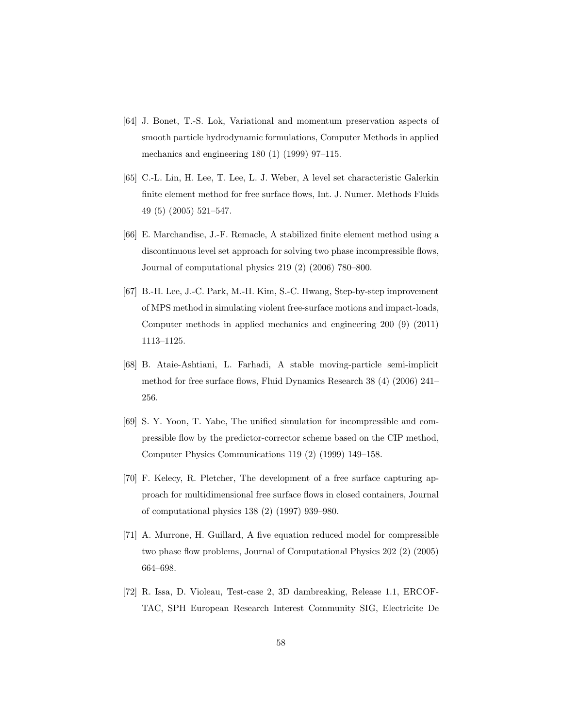- [64] J. Bonet, T.-S. Lok, Variational and momentum preservation aspects of smooth particle hydrodynamic formulations, Computer Methods in applied mechanics and engineering 180 (1) (1999) 97–115.
- [65] C.-L. Lin, H. Lee, T. Lee, L. J. Weber, A level set characteristic Galerkin finite element method for free surface flows, Int. J. Numer. Methods Fluids 49 (5) (2005) 521–547.
- [66] E. Marchandise, J.-F. Remacle, A stabilized finite element method using a discontinuous level set approach for solving two phase incompressible flows, Journal of computational physics 219 (2) (2006) 780–800.
- [67] B.-H. Lee, J.-C. Park, M.-H. Kim, S.-C. Hwang, Step-by-step improvement of MPS method in simulating violent free-surface motions and impact-loads, Computer methods in applied mechanics and engineering 200 (9) (2011) 1113–1125.
- [68] B. Ataie-Ashtiani, L. Farhadi, A stable moving-particle semi-implicit method for free surface flows, Fluid Dynamics Research 38 (4) (2006) 241– 256.
- [69] S. Y. Yoon, T. Yabe, The unified simulation for incompressible and compressible flow by the predictor-corrector scheme based on the CIP method, Computer Physics Communications 119 (2) (1999) 149–158.
- [70] F. Kelecy, R. Pletcher, The development of a free surface capturing approach for multidimensional free surface flows in closed containers, Journal of computational physics 138 (2) (1997) 939–980.
- [71] A. Murrone, H. Guillard, A five equation reduced model for compressible two phase flow problems, Journal of Computational Physics 202 (2) (2005) 664–698.
- [72] R. Issa, D. Violeau, Test-case 2, 3D dambreaking, Release 1.1, ERCOF-TAC, SPH European Research Interest Community SIG, Electricite De